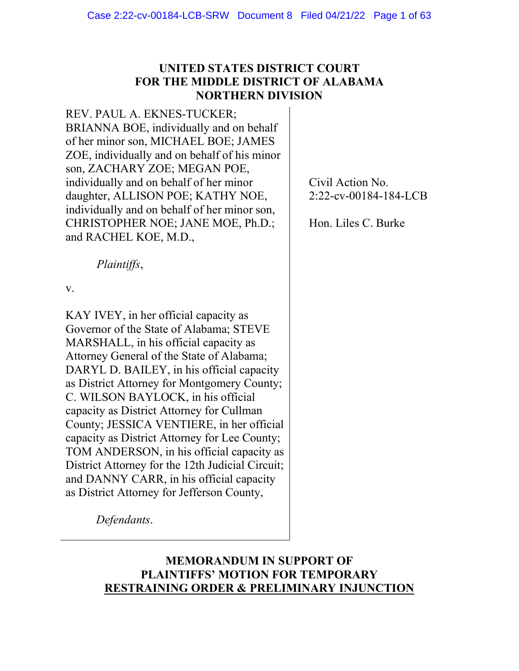# **UNITED STATES DISTRICT COURT FOR THE MIDDLE DISTRICT OF ALABAMA NORTHERN DIVISION**

REV. PAUL A. EKNES-TUCKER; BRIANNA BOE, individually and on behalf of her minor son, MICHAEL BOE; JAMES ZOE, individually and on behalf of his minor son, ZACHARY ZOE; MEGAN POE, individually and on behalf of her minor daughter, ALLISON POE; KATHY NOE, individually and on behalf of her minor son, CHRISTOPHER NOE; JANE MOE, Ph.D.; and RACHEL KOE, M.D.,

*Plaintiffs*,

v.

KAY IVEY, in her official capacity as Governor of the State of Alabama; STEVE MARSHALL, in his official capacity as Attorney General of the State of Alabama; DARYL D. BAILEY, in his official capacity as District Attorney for Montgomery County; C. WILSON BAYLOCK, in his official capacity as District Attorney for Cullman County; JESSICA VENTIERE, in her official capacity as District Attorney for Lee County; TOM ANDERSON, in his official capacity as District Attorney for the 12th Judicial Circuit; and DANNY CARR, in his official capacity as District Attorney for Jefferson County,

Civil Action No. 2:22-cv-00184-184-LCB

Hon. Liles C. Burke

*Defendants*.

# **MEMORANDUM IN SUPPORT OF PLAINTIFFS' MOTION FOR TEMPORARY RESTRAINING ORDER & PRELIMINARY INJUNCTION**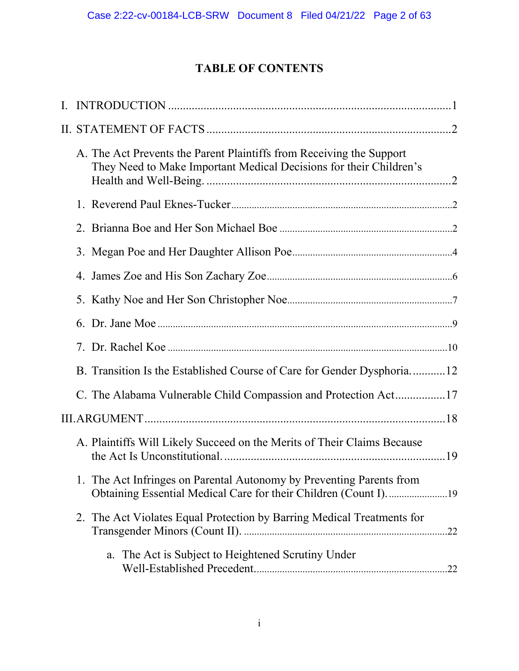# **TABLE OF CONTENTS**

|  | A. The Act Prevents the Parent Plaintiffs from Receiving the Support<br>They Need to Make Important Medical Decisions for their Children's |
|--|--------------------------------------------------------------------------------------------------------------------------------------------|
|  |                                                                                                                                            |
|  |                                                                                                                                            |
|  |                                                                                                                                            |
|  |                                                                                                                                            |
|  |                                                                                                                                            |
|  |                                                                                                                                            |
|  |                                                                                                                                            |
|  | B. Transition Is the Established Course of Care for Gender Dysphoria12                                                                     |
|  | C. The Alabama Vulnerable Child Compassion and Protection Act17                                                                            |
|  |                                                                                                                                            |
|  | A. Plaintiffs Will Likely Succeed on the Merits of Their Claims Because                                                                    |
|  | 1. The Act Infringes on Parental Autonomy by Preventing Parents from                                                                       |
|  | 2. The Act Violates Equal Protection by Barring Medical Treatments for                                                                     |
|  | a. The Act is Subject to Heightened Scrutiny Under                                                                                         |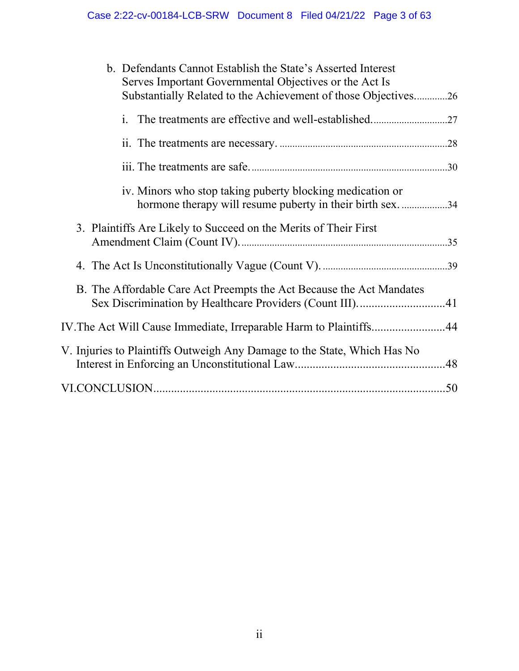| b. Defendants Cannot Establish the State's Asserted Interest<br>Serves Important Governmental Objectives or the Act Is<br>Substantially Related to the Achievement of those Objectives26 |
|------------------------------------------------------------------------------------------------------------------------------------------------------------------------------------------|
|                                                                                                                                                                                          |
|                                                                                                                                                                                          |
|                                                                                                                                                                                          |
| iv. Minors who stop taking puberty blocking medication or<br>hormone therapy will resume puberty in their birth sex. 34                                                                  |
| 3. Plaintiffs Are Likely to Succeed on the Merits of Their First                                                                                                                         |
|                                                                                                                                                                                          |
| B. The Affordable Care Act Preempts the Act Because the Act Mandates                                                                                                                     |
| IV. The Act Will Cause Immediate, Irreparable Harm to Plaintiffs44                                                                                                                       |
| V. Injuries to Plaintiffs Outweigh Any Damage to the State, Which Has No                                                                                                                 |
|                                                                                                                                                                                          |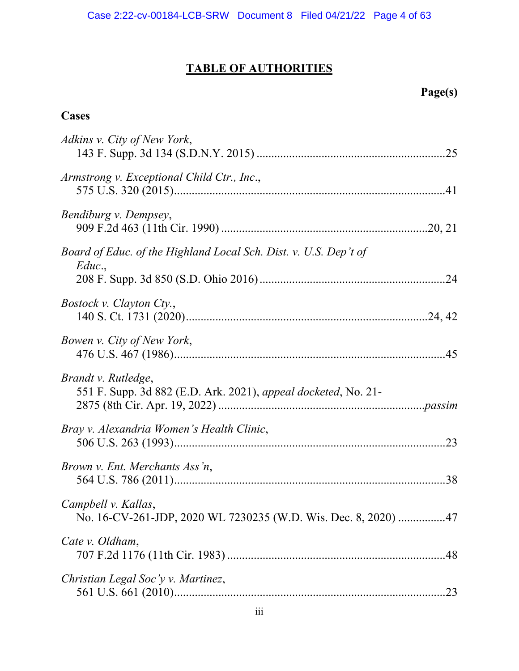# **TABLE OF AUTHORITIES**

# **Page(s)**

# **Cases**

| Adkins v. City of New York,                                                           |  |
|---------------------------------------------------------------------------------------|--|
| Armstrong v. Exceptional Child Ctr., Inc.,                                            |  |
| Bendiburg v. Dempsey,                                                                 |  |
| Board of Educ. of the Highland Local Sch. Dist. v. U.S. Dep't of<br>Educ.             |  |
|                                                                                       |  |
| <i>Bostock v. Clayton Cty.,</i>                                                       |  |
| Bowen v. City of New York,                                                            |  |
| Brandt v. Rutledge,<br>551 F. Supp. 3d 882 (E.D. Ark. 2021), appeal docketed, No. 21- |  |
| Bray v. Alexandria Women's Health Clinic,                                             |  |
| Brown v. Ent. Merchants Ass'n,                                                        |  |
| Campbell v. Kallas,<br>No. 16-CV-261-JDP, 2020 WL 7230235 (W.D. Wis. Dec. 8, 2020) 47 |  |
| Cate v. Oldham,                                                                       |  |
| Christian Legal Soc'y v. Martinez,                                                    |  |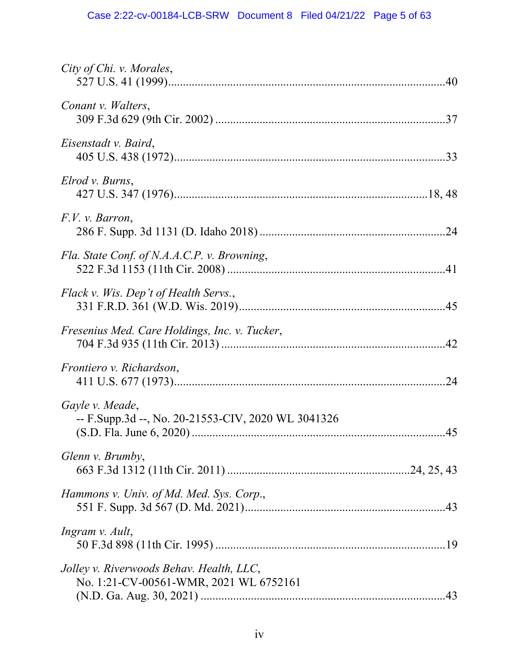| City of Chi. v. Morales,                                                           |
|------------------------------------------------------------------------------------|
| Conant v. Walters,                                                                 |
| Eisenstadt v. Baird,                                                               |
| Elrod v. Burns,                                                                    |
| F.V. v. Barron,                                                                    |
| Fla. State Conf. of N.A.A.C.P. v. Browning,                                        |
| Flack v. Wis. Dep't of Health Servs.,                                              |
| Fresenius Med. Care Holdings, Inc. v. Tucker,                                      |
| Frontiero v. Richardson,                                                           |
| Gayle v. Meade,<br>-- F.Supp.3d --, No. 20-21553-CIV, 2020 WL 3041326              |
| Glenn v. Brumby,                                                                   |
| Hammons v. Univ. of Md. Med. Sys. Corp.,                                           |
| Ingram v. Ault,                                                                    |
| Jolley v. Riverwoods Behav. Health, LLC,<br>No. 1:21-CV-00561-WMR, 2021 WL 6752161 |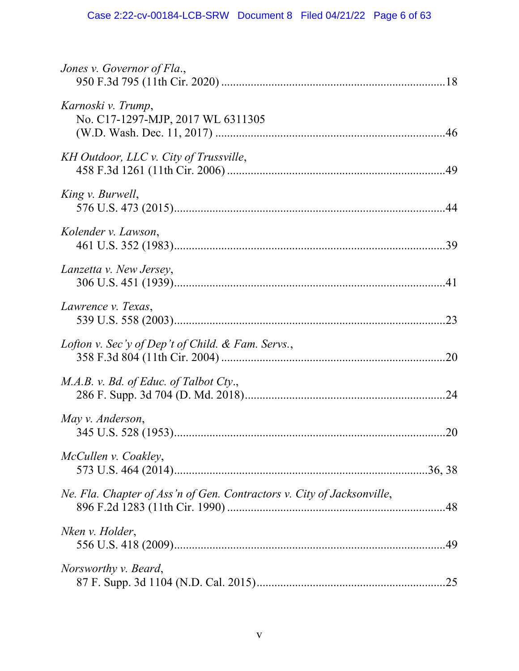| Jones v. Governor of Fla.,                                             |  |
|------------------------------------------------------------------------|--|
| Karnoski v. Trump,<br>No. C17-1297-MJP, 2017 WL 6311305                |  |
| KH Outdoor, LLC v. City of Trussville,                                 |  |
| King v. Burwell,                                                       |  |
| Kolender v. Lawson,                                                    |  |
| Lanzetta v. New Jersey,                                                |  |
| Lawrence v. Texas,                                                     |  |
| Lofton v. Sec'y of Dep't of Child. & Fam. Servs.,                      |  |
| M.A.B. v. Bd. of Educ. of Talbot Cty.,                                 |  |
| May v. Anderson,                                                       |  |
| McCullen v. Coakley,                                                   |  |
| Ne. Fla. Chapter of Ass'n of Gen. Contractors v. City of Jacksonville, |  |
| Nken v. Holder,                                                        |  |
| <i>Norsworthy v. Beard,</i>                                            |  |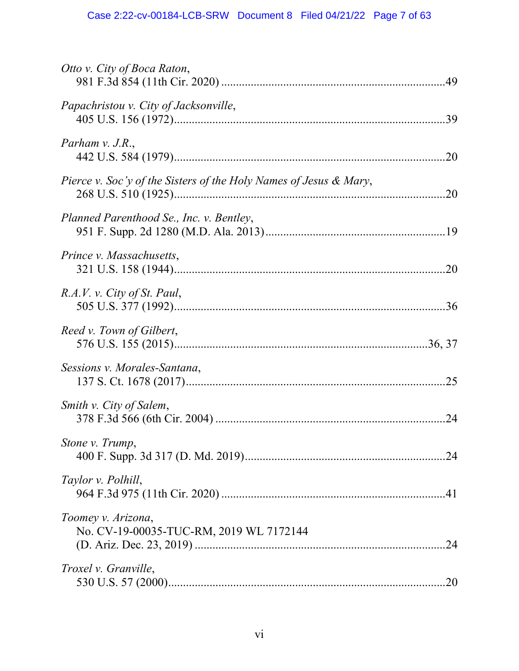| Otto v. City of Boca Raton,                                       |
|-------------------------------------------------------------------|
| Papachristou v. City of Jacksonville,                             |
| Parham $v.$ J.R.,                                                 |
| Pierce v. Soc'y of the Sisters of the Holy Names of Jesus & Mary, |
| Planned Parenthood Se., Inc. v. Bentley,                          |
| Prince v. Massachusetts,                                          |
| R.A.V. v. City of St. Paul,                                       |
| Reed v. Town of Gilbert,                                          |
| Sessions v. Morales-Santana,                                      |
| Smith v. City of Salem,                                           |
| Stone v. Trump,                                                   |
| Taylor v. Polhill,                                                |
| Toomey v. Arizona,<br>No. CV-19-00035-TUC-RM, 2019 WL 7172144     |
| Troxel v. Granville,                                              |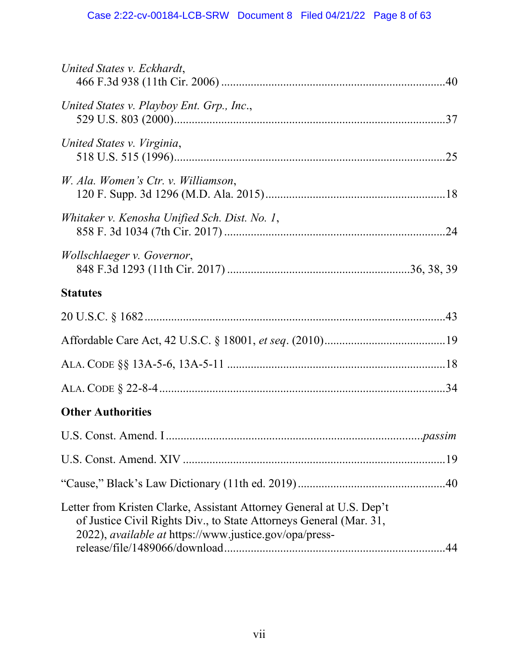| United States v. Eckhardt,                                                                                                                                                                           |     |
|------------------------------------------------------------------------------------------------------------------------------------------------------------------------------------------------------|-----|
| United States v. Playboy Ent. Grp., Inc.,                                                                                                                                                            |     |
| United States v. Virginia,                                                                                                                                                                           |     |
| W. Ala. Women's Ctr. v. Williamson,                                                                                                                                                                  |     |
| Whitaker v. Kenosha Unified Sch. Dist. No. 1,                                                                                                                                                        |     |
| Wollschlaeger v. Governor,                                                                                                                                                                           |     |
| <b>Statutes</b>                                                                                                                                                                                      |     |
|                                                                                                                                                                                                      |     |
|                                                                                                                                                                                                      |     |
|                                                                                                                                                                                                      |     |
|                                                                                                                                                                                                      |     |
| <b>Other Authorities</b>                                                                                                                                                                             |     |
|                                                                                                                                                                                                      |     |
|                                                                                                                                                                                                      |     |
|                                                                                                                                                                                                      |     |
| Letter from Kristen Clarke, Assistant Attorney General at U.S. Dep't<br>of Justice Civil Rights Div., to State Attorneys General (Mar. 31,<br>2022), available at https://www.justice.gov/opa/press- | -44 |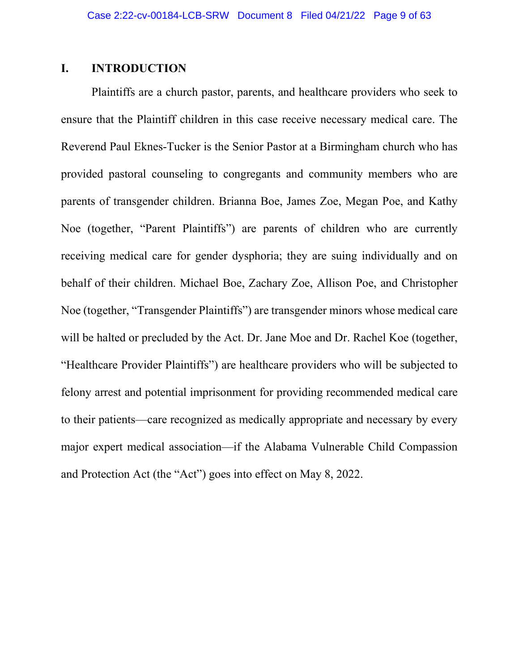# **I. INTRODUCTION**

Plaintiffs are a church pastor, parents, and healthcare providers who seek to ensure that the Plaintiff children in this case receive necessary medical care. The Reverend Paul Eknes-Tucker is the Senior Pastor at a Birmingham church who has provided pastoral counseling to congregants and community members who are parents of transgender children. Brianna Boe, James Zoe, Megan Poe, and Kathy Noe (together, "Parent Plaintiffs") are parents of children who are currently receiving medical care for gender dysphoria; they are suing individually and on behalf of their children. Michael Boe, Zachary Zoe, Allison Poe, and Christopher Noe (together, "Transgender Plaintiffs") are transgender minors whose medical care will be halted or precluded by the Act. Dr. Jane Moe and Dr. Rachel Koe (together, "Healthcare Provider Plaintiffs") are healthcare providers who will be subjected to felony arrest and potential imprisonment for providing recommended medical care to their patients—care recognized as medically appropriate and necessary by every major expert medical association—if the Alabama Vulnerable Child Compassion and Protection Act (the "Act") goes into effect on May 8, 2022.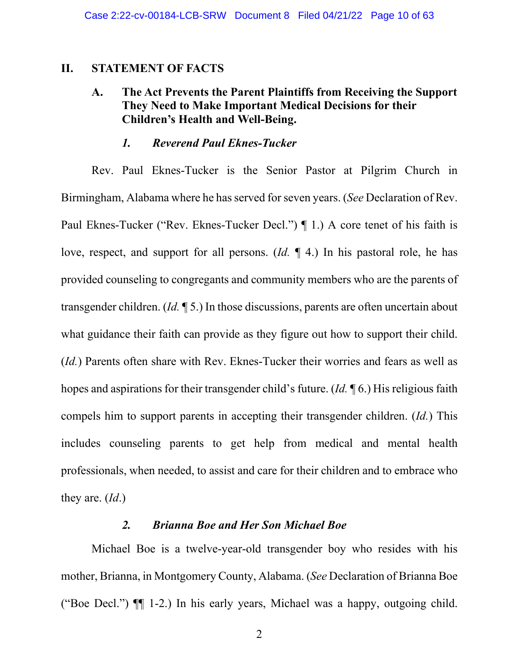### **II. STATEMENT OF FACTS**

# **A. The Act Prevents the Parent Plaintiffs from Receiving the Support They Need to Make Important Medical Decisions for their Children's Health and Well-Being.**

### *1. Reverend Paul Eknes-Tucker*

Rev. Paul Eknes-Tucker is the Senior Pastor at Pilgrim Church in Birmingham, Alabama where he has served for seven years. (*See* Declaration of Rev. Paul Eknes-Tucker ("Rev. Eknes-Tucker Decl.") ¶ 1.) A core tenet of his faith is love, respect, and support for all persons. (*Id.* ¶ 4.) In his pastoral role, he has provided counseling to congregants and community members who are the parents of transgender children. (*Id.* ¶ 5.) In those discussions, parents are often uncertain about what guidance their faith can provide as they figure out how to support their child. (*Id.*) Parents often share with Rev. Eknes-Tucker their worries and fears as well as hopes and aspirations for their transgender child's future. (*Id.* ¶ 6.) His religious faith compels him to support parents in accepting their transgender children. (*Id.*) This includes counseling parents to get help from medical and mental health professionals, when needed, to assist and care for their children and to embrace who they are. (*Id*.)

### *2. Brianna Boe and Her Son Michael Boe*

Michael Boe is a twelve-year-old transgender boy who resides with his mother, Brianna, in Montgomery County, Alabama. (*See* Declaration of Brianna Boe ("Boe Decl.") ¶¶ 1-2.) In his early years, Michael was a happy, outgoing child.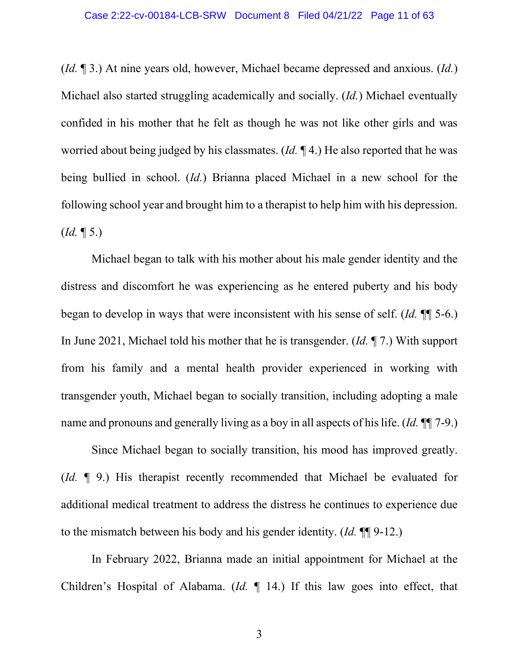(*Id.* ¶ 3.) At nine years old, however, Michael became depressed and anxious. (*Id.*) Michael also started struggling academically and socially. (*Id.*) Michael eventually confided in his mother that he felt as though he was not like other girls and was worried about being judged by his classmates. (*Id.* ¶ 4.) He also reported that he was being bullied in school. (*Id.*) Brianna placed Michael in a new school for the following school year and brought him to a therapist to help him with his depression.  $(Id. \P 5.)$ 

Michael began to talk with his mother about his male gender identity and the distress and discomfort he was experiencing as he entered puberty and his body began to develop in ways that were inconsistent with his sense of self. (*Id.* ¶¶ 5-6.) In June 2021, Michael told his mother that he is transgender. (*Id.* ¶ 7.) With support from his family and a mental health provider experienced in working with transgender youth, Michael began to socially transition, including adopting a male name and pronouns and generally living as a boy in all aspects of his life. (*Id.* ¶¶ 7-9.)

Since Michael began to socially transition, his mood has improved greatly. (*Id.* ¶ 9.) His therapist recently recommended that Michael be evaluated for additional medical treatment to address the distress he continues to experience due to the mismatch between his body and his gender identity. (*Id.* ¶¶ 9-12.)

In February 2022, Brianna made an initial appointment for Michael at the Children's Hospital of Alabama. (*Id.* ¶ 14.) If this law goes into effect, that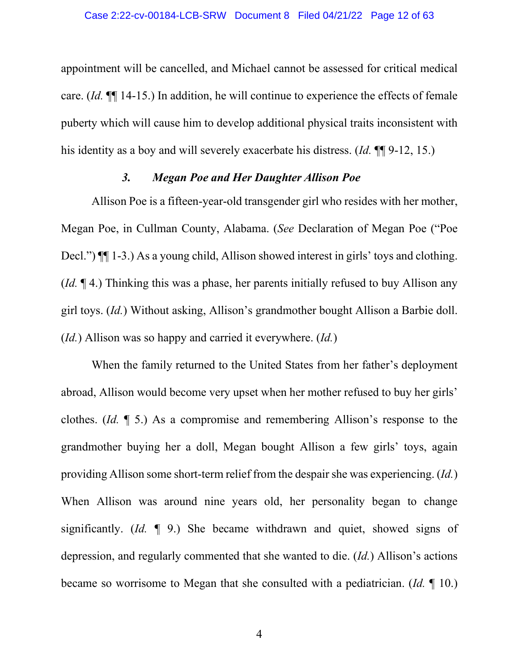appointment will be cancelled, and Michael cannot be assessed for critical medical care. (*Id.* ¶¶ 14-15.) In addition, he will continue to experience the effects of female puberty which will cause him to develop additional physical traits inconsistent with his identity as a boy and will severely exacerbate his distress. (*Id.* ¶¶ 9-12, 15.)

### *3. Megan Poe and Her Daughter Allison Poe*

Allison Poe is a fifteen-year-old transgender girl who resides with her mother, Megan Poe, in Cullman County, Alabama. (*See* Declaration of Megan Poe ("Poe Decl.")  $\P$ [1-3.) As a young child, Allison showed interest in girls' toys and clothing. (*Id.* ¶ 4.) Thinking this was a phase, her parents initially refused to buy Allison any girl toys. (*Id.*) Without asking, Allison's grandmother bought Allison a Barbie doll. (*Id.*) Allison was so happy and carried it everywhere. (*Id.*)

When the family returned to the United States from her father's deployment abroad, Allison would become very upset when her mother refused to buy her girls' clothes. (*Id.* ¶ 5.) As a compromise and remembering Allison's response to the grandmother buying her a doll, Megan bought Allison a few girls' toys, again providing Allison some short-term relief from the despair she was experiencing. (*Id.*) When Allison was around nine years old, her personality began to change significantly. (*Id.* ¶ 9.) She became withdrawn and quiet, showed signs of depression, and regularly commented that she wanted to die. (*Id.*) Allison's actions became so worrisome to Megan that she consulted with a pediatrician. (*Id.* ¶ 10.)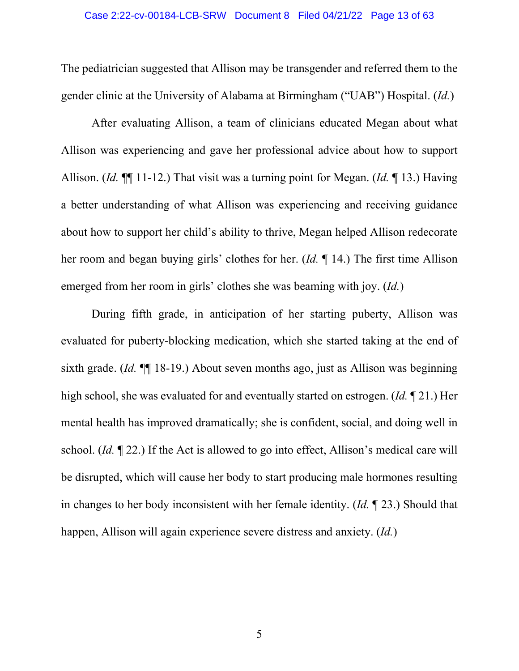The pediatrician suggested that Allison may be transgender and referred them to the gender clinic at the University of Alabama at Birmingham ("UAB") Hospital. (*Id.*)

After evaluating Allison, a team of clinicians educated Megan about what Allison was experiencing and gave her professional advice about how to support Allison. (*Id.* ¶¶ 11-12.) That visit was a turning point for Megan. (*Id.* ¶ 13.) Having a better understanding of what Allison was experiencing and receiving guidance about how to support her child's ability to thrive, Megan helped Allison redecorate her room and began buying girls' clothes for her. (*Id.* ¶ 14.) The first time Allison emerged from her room in girls' clothes she was beaming with joy. (*Id.*)

During fifth grade, in anticipation of her starting puberty, Allison was evaluated for puberty-blocking medication, which she started taking at the end of sixth grade. (*Id.* ¶¶ 18-19.) About seven months ago, just as Allison was beginning high school, she was evaluated for and eventually started on estrogen. (*Id.* ¶ 21.) Her mental health has improved dramatically; she is confident, social, and doing well in school. (*Id.* ¶ 22.) If the Act is allowed to go into effect, Allison's medical care will be disrupted, which will cause her body to start producing male hormones resulting in changes to her body inconsistent with her female identity. (*Id.* ¶ 23.) Should that happen, Allison will again experience severe distress and anxiety. (*Id.*)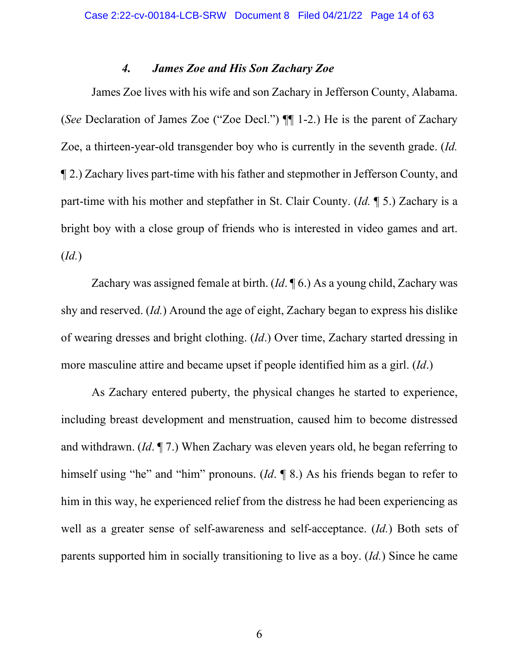### *4. James Zoe and His Son Zachary Zoe*

James Zoe lives with his wife and son Zachary in Jefferson County, Alabama. (*See* Declaration of James Zoe ("Zoe Decl.") ¶¶ 1-2.) He is the parent of Zachary Zoe, a thirteen-year-old transgender boy who is currently in the seventh grade. (*Id.* ¶ 2.) Zachary lives part-time with his father and stepmother in Jefferson County, and part-time with his mother and stepfather in St. Clair County. (*Id.* ¶ 5.) Zachary is a bright boy with a close group of friends who is interested in video games and art. (*Id.*)

Zachary was assigned female at birth. (*Id*. ¶ 6.) As a young child, Zachary was shy and reserved. (*Id.*) Around the age of eight, Zachary began to express his dislike of wearing dresses and bright clothing. (*Id*.) Over time, Zachary started dressing in more masculine attire and became upset if people identified him as a girl. (*Id*.)

As Zachary entered puberty, the physical changes he started to experience, including breast development and menstruation, caused him to become distressed and withdrawn. (*Id*. ¶ 7.) When Zachary was eleven years old, he began referring to himself using "he" and "him" pronouns. (*Id*. ¶ 8.) As his friends began to refer to him in this way, he experienced relief from the distress he had been experiencing as well as a greater sense of self-awareness and self-acceptance. (*Id.*) Both sets of parents supported him in socially transitioning to live as a boy. (*Id.*) Since he came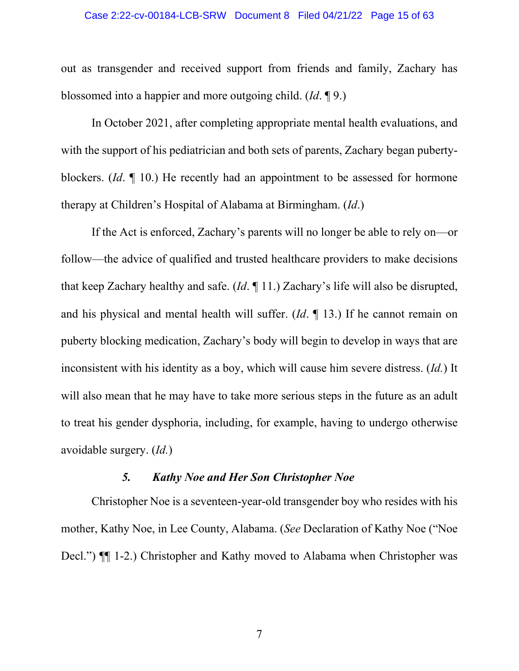#### Case 2:22-cv-00184-LCB-SRW Document 8 Filed 04/21/22 Page 15 of 63

out as transgender and received support from friends and family, Zachary has blossomed into a happier and more outgoing child. (*Id*. ¶ 9.)

In October 2021, after completing appropriate mental health evaluations, and with the support of his pediatrician and both sets of parents, Zachary began pubertyblockers. (*Id*. ¶ 10.) He recently had an appointment to be assessed for hormone therapy at Children's Hospital of Alabama at Birmingham. (*Id*.)

If the Act is enforced, Zachary's parents will no longer be able to rely on—or follow—the advice of qualified and trusted healthcare providers to make decisions that keep Zachary healthy and safe. (*Id*. ¶ 11.) Zachary's life will also be disrupted, and his physical and mental health will suffer. (*Id*. ¶ 13.) If he cannot remain on puberty blocking medication, Zachary's body will begin to develop in ways that are inconsistent with his identity as a boy, which will cause him severe distress. (*Id.*) It will also mean that he may have to take more serious steps in the future as an adult to treat his gender dysphoria, including, for example, having to undergo otherwise avoidable surgery. (*Id.*)

## *5. Kathy Noe and Her Son Christopher Noe*

Christopher Noe is a seventeen-year-old transgender boy who resides with his mother, Kathy Noe, in Lee County, Alabama. (*See* Declaration of Kathy Noe ("Noe Decl.") ¶¶ 1-2.) Christopher and Kathy moved to Alabama when Christopher was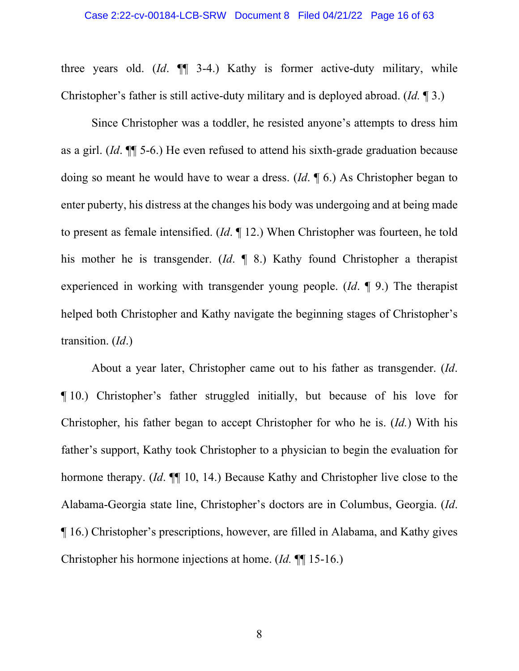three years old. (*Id*. ¶¶ 3-4.) Kathy is former active-duty military, while Christopher's father is still active-duty military and is deployed abroad. (*Id.* ¶ 3.)

Since Christopher was a toddler, he resisted anyone's attempts to dress him as a girl. (*Id*. ¶¶ 5-6.) He even refused to attend his sixth-grade graduation because doing so meant he would have to wear a dress. (*Id*. ¶ 6.) As Christopher began to enter puberty, his distress at the changes his body was undergoing and at being made to present as female intensified. (*Id*. ¶ 12.) When Christopher was fourteen, he told his mother he is transgender. (*Id*. ¶ 8.) Kathy found Christopher a therapist experienced in working with transgender young people. (*Id*. ¶ 9.) The therapist helped both Christopher and Kathy navigate the beginning stages of Christopher's transition. (*Id*.)

About a year later, Christopher came out to his father as transgender. (*Id*. ¶ 10.) Christopher's father struggled initially, but because of his love for Christopher, his father began to accept Christopher for who he is. (*Id.*) With his father's support, Kathy took Christopher to a physician to begin the evaluation for hormone therapy. (*Id*. ¶¶ 10, 14.) Because Kathy and Christopher live close to the Alabama-Georgia state line, Christopher's doctors are in Columbus, Georgia. (*Id*. ¶ 16.) Christopher's prescriptions, however, are filled in Alabama, and Kathy gives Christopher his hormone injections at home. (*Id.* ¶¶ 15-16.)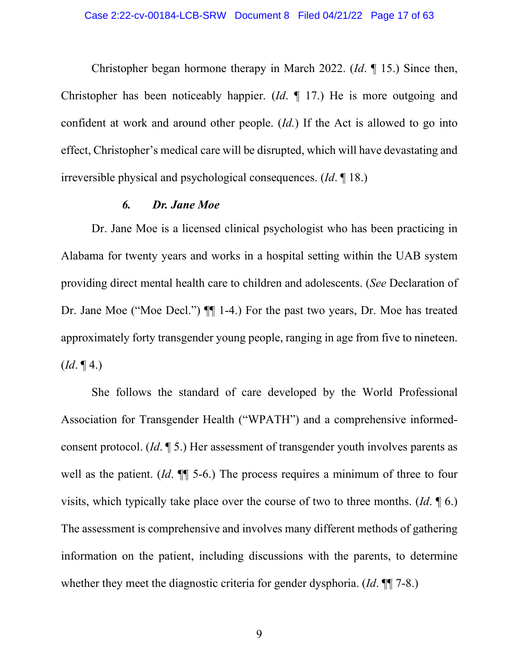Christopher began hormone therapy in March 2022. (*Id*. ¶ 15.) Since then, Christopher has been noticeably happier. (*Id*. ¶ 17.) He is more outgoing and confident at work and around other people. (*Id.*) If the Act is allowed to go into effect, Christopher's medical care will be disrupted, which will have devastating and irreversible physical and psychological consequences. (*Id*. ¶ 18.)

### *6. Dr. Jane Moe*

Dr. Jane Moe is a licensed clinical psychologist who has been practicing in Alabama for twenty years and works in a hospital setting within the UAB system providing direct mental health care to children and adolescents. (*See* Declaration of Dr. Jane Moe ("Moe Decl.") ¶¶ 1-4.) For the past two years, Dr. Moe has treated approximately forty transgender young people, ranging in age from five to nineteen.  $(Id. \P 4.)$ 

She follows the standard of care developed by the World Professional Association for Transgender Health ("WPATH") and a comprehensive informedconsent protocol. (*Id*. ¶ 5.) Her assessment of transgender youth involves parents as well as the patient. (*Id*. ¶¶ 5-6.) The process requires a minimum of three to four visits, which typically take place over the course of two to three months. (*Id*. ¶ 6.) The assessment is comprehensive and involves many different methods of gathering information on the patient, including discussions with the parents, to determine whether they meet the diagnostic criteria for gender dysphoria. (*Id*. ¶¶ 7-8.)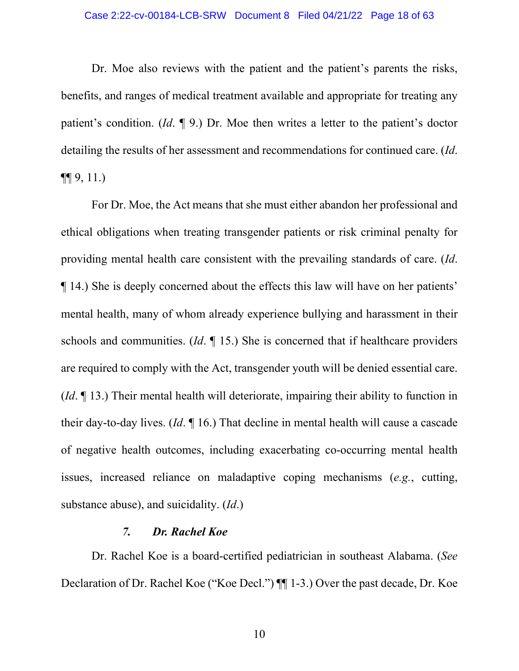#### Case 2:22-cv-00184-LCB-SRW Document 8 Filed 04/21/22 Page 18 of 63

Dr. Moe also reviews with the patient and the patient's parents the risks, benefits, and ranges of medical treatment available and appropriate for treating any patient's condition. (*Id*. ¶ 9.) Dr. Moe then writes a letter to the patient's doctor detailing the results of her assessment and recommendations for continued care. (*Id*.  $\P\P$  9, 11.)

For Dr. Moe, the Act means that she must either abandon her professional and ethical obligations when treating transgender patients or risk criminal penalty for providing mental health care consistent with the prevailing standards of care. (*Id*. ¶ 14.) She is deeply concerned about the effects this law will have on her patients' mental health, many of whom already experience bullying and harassment in their schools and communities. (*Id*. ¶ 15.) She is concerned that if healthcare providers are required to comply with the Act, transgender youth will be denied essential care. (*Id*. ¶ 13.) Their mental health will deteriorate, impairing their ability to function in their day-to-day lives. (*Id*. ¶ 16.) That decline in mental health will cause a cascade of negative health outcomes, including exacerbating co-occurring mental health issues, increased reliance on maladaptive coping mechanisms (*e.g.*, cutting, substance abuse), and suicidality. (*Id*.)

### *7. Dr. Rachel Koe*

Dr. Rachel Koe is a board-certified pediatrician in southeast Alabama. (*See* Declaration of Dr. Rachel Koe ("Koe Decl.") ¶¶ 1-3.) Over the past decade, Dr. Koe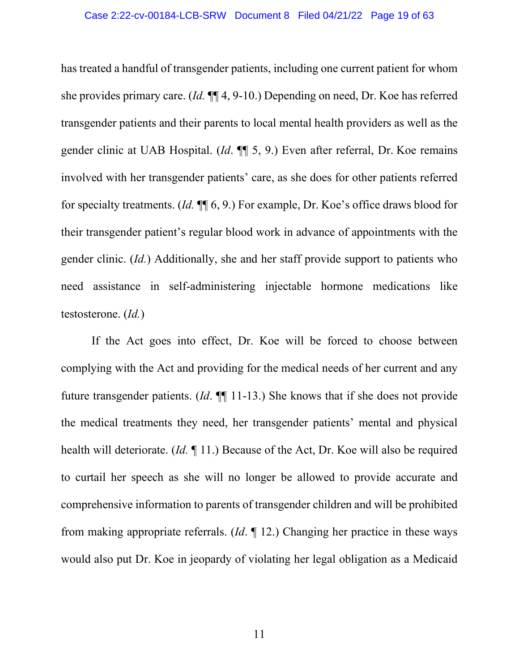has treated a handful of transgender patients, including one current patient for whom she provides primary care. (*Id.* ¶¶ 4, 9-10.) Depending on need, Dr. Koe has referred transgender patients and their parents to local mental health providers as well as the gender clinic at UAB Hospital. (*Id*. ¶¶ 5, 9.) Even after referral, Dr. Koe remains involved with her transgender patients' care, as she does for other patients referred for specialty treatments. (*Id.* ¶¶ 6, 9.) For example, Dr. Koe's office draws blood for their transgender patient's regular blood work in advance of appointments with the gender clinic. (*Id.*) Additionally, she and her staff provide support to patients who need assistance in self-administering injectable hormone medications like testosterone. (*Id.*)

If the Act goes into effect, Dr. Koe will be forced to choose between complying with the Act and providing for the medical needs of her current and any future transgender patients. (*Id*. ¶¶ 11-13.) She knows that if she does not provide the medical treatments they need, her transgender patients' mental and physical health will deteriorate. (*Id.* ¶ 11.) Because of the Act, Dr. Koe will also be required to curtail her speech as she will no longer be allowed to provide accurate and comprehensive information to parents of transgender children and will be prohibited from making appropriate referrals. (*Id*. ¶ 12.) Changing her practice in these ways would also put Dr. Koe in jeopardy of violating her legal obligation as a Medicaid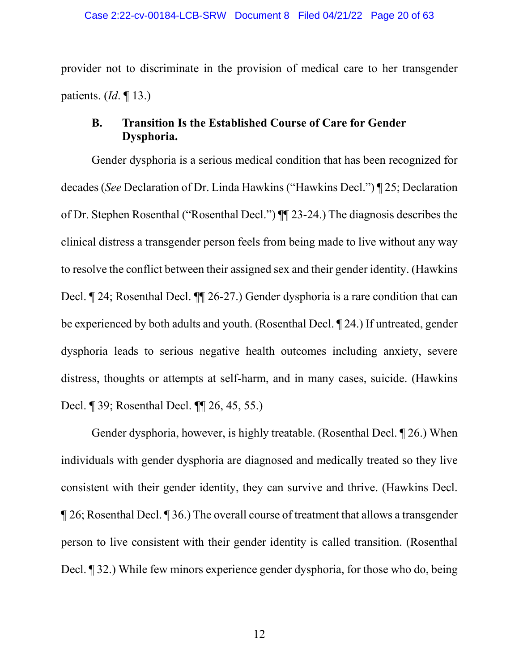provider not to discriminate in the provision of medical care to her transgender patients. (*Id*. ¶ 13.)

## **B. Transition Is the Established Course of Care for Gender Dysphoria.**

Gender dysphoria is a serious medical condition that has been recognized for decades (*See* Declaration of Dr. Linda Hawkins ("Hawkins Decl.") ¶ 25; Declaration of Dr. Stephen Rosenthal ("Rosenthal Decl.") ¶¶ 23-24.) The diagnosis describes the clinical distress a transgender person feels from being made to live without any way to resolve the conflict between their assigned sex and their gender identity. (Hawkins Decl. ¶ 24; Rosenthal Decl. ¶¶ 26-27.) Gender dysphoria is a rare condition that can be experienced by both adults and youth. (Rosenthal Decl. ¶ 24.) If untreated, gender dysphoria leads to serious negative health outcomes including anxiety, severe distress, thoughts or attempts at self-harm, and in many cases, suicide. (Hawkins Decl. ¶ 39; Rosenthal Decl. ¶¶ 26, 45, 55.)

Gender dysphoria, however, is highly treatable. (Rosenthal Decl. ¶ 26.) When individuals with gender dysphoria are diagnosed and medically treated so they live consistent with their gender identity, they can survive and thrive. (Hawkins Decl. ¶ 26; Rosenthal Decl. ¶ 36.) The overall course of treatment that allows a transgender person to live consistent with their gender identity is called transition. (Rosenthal Decl. ¶ 32.) While few minors experience gender dysphoria, for those who do, being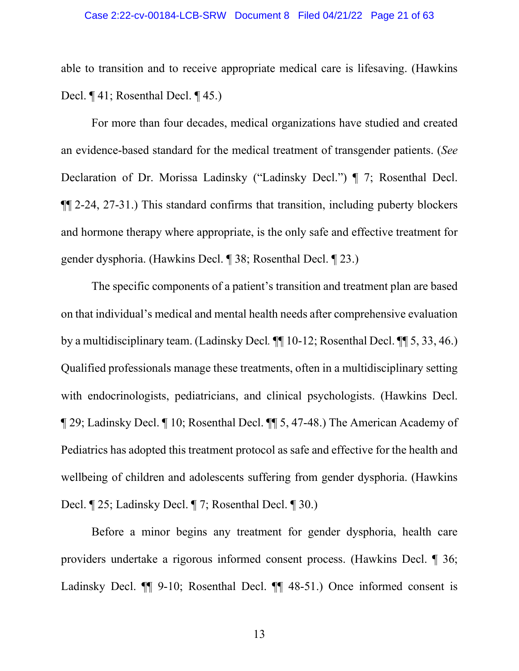able to transition and to receive appropriate medical care is lifesaving. (Hawkins Decl. ¶ 41; Rosenthal Decl. ¶ 45.)

For more than four decades, medical organizations have studied and created an evidence-based standard for the medical treatment of transgender patients. (*See* Declaration of Dr. Morissa Ladinsky ("Ladinsky Decl.") ¶ 7; Rosenthal Decl. ¶¶ 2-24, 27-31.) This standard confirms that transition, including puberty blockers and hormone therapy where appropriate, is the only safe and effective treatment for gender dysphoria. (Hawkins Decl. ¶ 38; Rosenthal Decl. ¶ 23.)

The specific components of a patient's transition and treatment plan are based on that individual's medical and mental health needs after comprehensive evaluation by a multidisciplinary team. (Ladinsky Decl*.* ¶¶ 10-12; Rosenthal Decl. ¶¶ 5, 33, 46.) Qualified professionals manage these treatments, often in a multidisciplinary setting with endocrinologists, pediatricians, and clinical psychologists. (Hawkins Decl. ¶ 29; Ladinsky Decl. ¶ 10; Rosenthal Decl. ¶¶ 5, 47-48.) The American Academy of Pediatrics has adopted this treatment protocol as safe and effective for the health and wellbeing of children and adolescents suffering from gender dysphoria. (Hawkins Decl. ¶ 25; Ladinsky Decl. ¶ 7; Rosenthal Decl. ¶ 30.)

Before a minor begins any treatment for gender dysphoria, health care providers undertake a rigorous informed consent process. (Hawkins Decl. ¶ 36; Ladinsky Decl.  $\P$  9-10; Rosenthal Decl.  $\P$  48-51.) Once informed consent is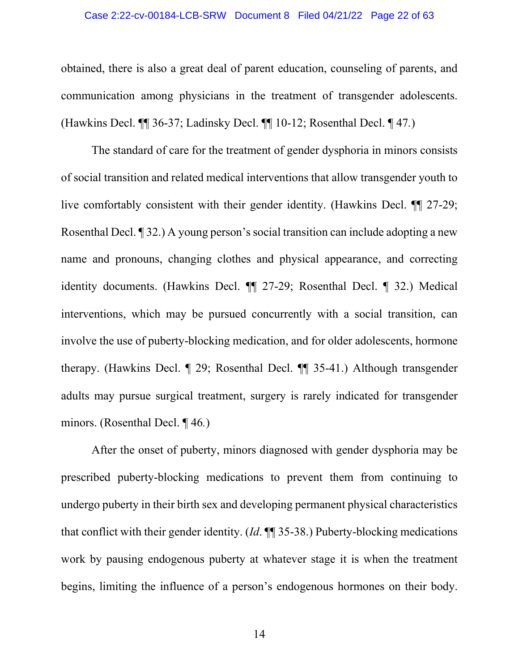#### Case 2:22-cv-00184-LCB-SRW Document 8 Filed 04/21/22 Page 22 of 63

obtained, there is also a great deal of parent education, counseling of parents, and communication among physicians in the treatment of transgender adolescents. (Hawkins Decl. ¶¶ 36-37; Ladinsky Decl. ¶¶ 10-12; Rosenthal Decl. ¶ 47*.*)

The standard of care for the treatment of gender dysphoria in minors consists of social transition and related medical interventions that allow transgender youth to live comfortably consistent with their gender identity. (Hawkins Decl. ¶¶ 27-29; Rosenthal Decl. ¶ 32.) A young person's social transition can include adopting a new name and pronouns, changing clothes and physical appearance, and correcting identity documents. (Hawkins Decl. ¶¶ 27-29; Rosenthal Decl. ¶ 32.) Medical interventions, which may be pursued concurrently with a social transition, can involve the use of puberty-blocking medication, and for older adolescents, hormone therapy. (Hawkins Decl. ¶ 29; Rosenthal Decl. ¶¶ 35-41.) Although transgender adults may pursue surgical treatment, surgery is rarely indicated for transgender minors. (Rosenthal Decl. ¶ 46*.*)

After the onset of puberty, minors diagnosed with gender dysphoria may be prescribed puberty-blocking medications to prevent them from continuing to undergo puberty in their birth sex and developing permanent physical characteristics that conflict with their gender identity. (*Id*. ¶¶ 35-38.) Puberty-blocking medications work by pausing endogenous puberty at whatever stage it is when the treatment begins, limiting the influence of a person's endogenous hormones on their body.

14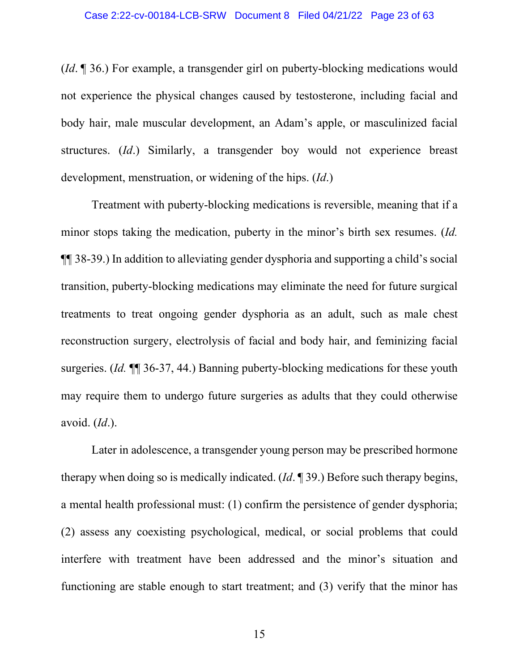(*Id*. ¶ 36.) For example, a transgender girl on puberty-blocking medications would not experience the physical changes caused by testosterone, including facial and body hair, male muscular development, an Adam's apple, or masculinized facial structures. (*Id*.) Similarly, a transgender boy would not experience breast development, menstruation, or widening of the hips. (*Id*.)

Treatment with puberty-blocking medications is reversible, meaning that if a minor stops taking the medication, puberty in the minor's birth sex resumes. (*Id.*  ¶¶ 38-39.) In addition to alleviating gender dysphoria and supporting a child's social transition, puberty-blocking medications may eliminate the need for future surgical treatments to treat ongoing gender dysphoria as an adult, such as male chest reconstruction surgery, electrolysis of facial and body hair, and feminizing facial surgeries. (*Id.* ¶¶ 36-37, 44.) Banning puberty-blocking medications for these youth may require them to undergo future surgeries as adults that they could otherwise avoid. (*Id*.).

Later in adolescence, a transgender young person may be prescribed hormone therapy when doing so is medically indicated. (*Id*. ¶ 39.) Before such therapy begins, a mental health professional must: (1) confirm the persistence of gender dysphoria; (2) assess any coexisting psychological, medical, or social problems that could interfere with treatment have been addressed and the minor's situation and functioning are stable enough to start treatment; and (3) verify that the minor has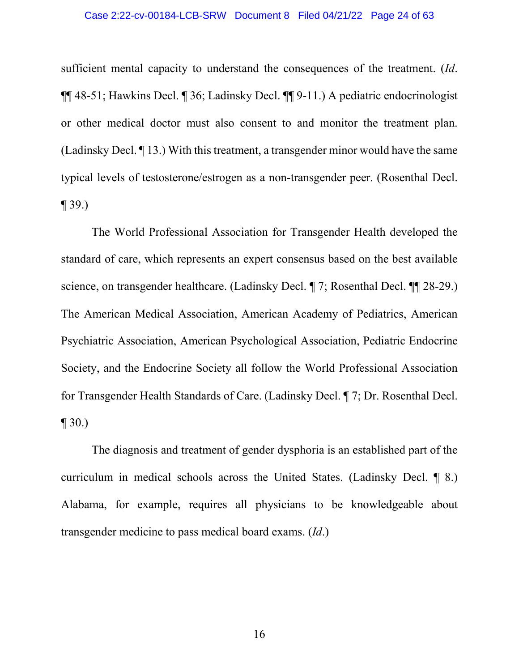#### Case 2:22-cv-00184-LCB-SRW Document 8 Filed 04/21/22 Page 24 of 63

sufficient mental capacity to understand the consequences of the treatment. (*Id*. ¶¶ 48-51; Hawkins Decl. ¶ 36; Ladinsky Decl. ¶¶ 9-11.) A pediatric endocrinologist or other medical doctor must also consent to and monitor the treatment plan. (Ladinsky Decl. ¶ 13.) With this treatment, a transgender minor would have the same typical levels of testosterone/estrogen as a non-transgender peer. (Rosenthal Decl.  $\P$  39.)

The World Professional Association for Transgender Health developed the standard of care, which represents an expert consensus based on the best available science, on transgender healthcare. (Ladinsky Decl. ¶ 7; Rosenthal Decl. ¶¶ 28-29.) The American Medical Association, American Academy of Pediatrics, American Psychiatric Association, American Psychological Association, Pediatric Endocrine Society, and the Endocrine Society all follow the World Professional Association for Transgender Health Standards of Care. (Ladinsky Decl. ¶ 7; Dr. Rosenthal Decl.  $\P 30.$ 

The diagnosis and treatment of gender dysphoria is an established part of the curriculum in medical schools across the United States. (Ladinsky Decl. ¶ 8.) Alabama, for example, requires all physicians to be knowledgeable about transgender medicine to pass medical board exams. (*Id*.)

16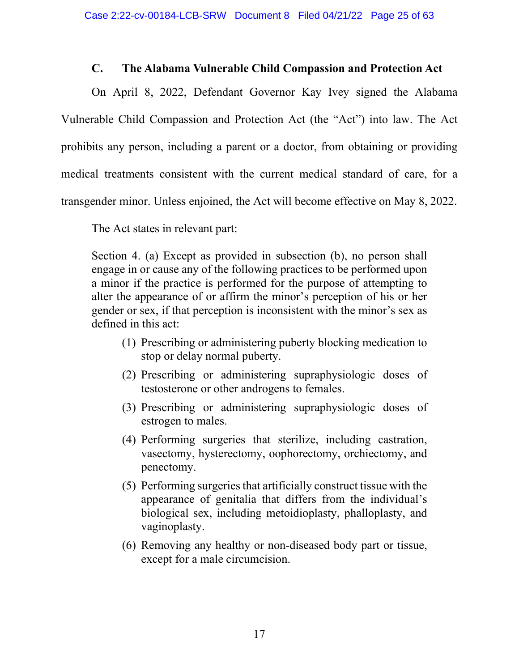### **C. The Alabama Vulnerable Child Compassion and Protection Act**

On April 8, 2022, Defendant Governor Kay Ivey signed the Alabama Vulnerable Child Compassion and Protection Act (the "Act") into law. The Act prohibits any person, including a parent or a doctor, from obtaining or providing medical treatments consistent with the current medical standard of care, for a transgender minor. Unless enjoined, the Act will become effective on May 8, 2022.

The Act states in relevant part:

Section 4. (a) Except as provided in subsection (b), no person shall engage in or cause any of the following practices to be performed upon a minor if the practice is performed for the purpose of attempting to alter the appearance of or affirm the minor's perception of his or her gender or sex, if that perception is inconsistent with the minor's sex as defined in this act:

- (1) Prescribing or administering puberty blocking medication to stop or delay normal puberty.
- (2) Prescribing or administering supraphysiologic doses of testosterone or other androgens to females.
- (3) Prescribing or administering supraphysiologic doses of estrogen to males.
- (4) Performing surgeries that sterilize, including castration, vasectomy, hysterectomy, oophorectomy, orchiectomy, and penectomy.
- (5) Performing surgeries that artificially construct tissue with the appearance of genitalia that differs from the individual's biological sex, including metoidioplasty, phalloplasty, and vaginoplasty.
- (6) Removing any healthy or non-diseased body part or tissue, except for a male circumcision.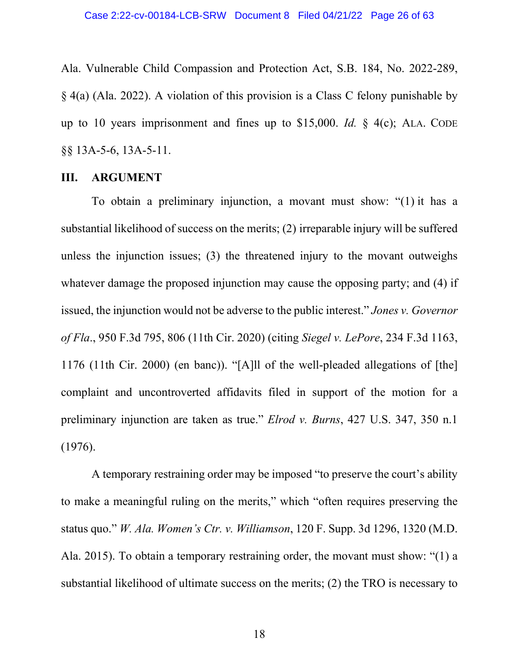Ala. Vulnerable Child Compassion and Protection Act, S.B. 184, No. 2022-289, § 4(a) (Ala. 2022). A violation of this provision is a Class C felony punishable by up to 10 years imprisonment and fines up to \$15,000. *Id.* § 4(c); ALA. CODE §§ 13A-5-6, 13A-5-11.

### **III. ARGUMENT**

To obtain a preliminary injunction, a movant must show: "(1) it has a substantial likelihood of success on the merits; (2) irreparable injury will be suffered unless the injunction issues; (3) the threatened injury to the movant outweighs whatever damage the proposed injunction may cause the opposing party; and (4) if issued, the injunction would not be adverse to the public interest." *Jones v. Governor of Fla*., 950 F.3d 795, 806 (11th Cir. 2020) (citing *Siegel v. LePore*, 234 F.3d 1163, 1176 (11th Cir. 2000) (en banc)). "[A]ll of the well-pleaded allegations of [the] complaint and uncontroverted affidavits filed in support of the motion for a preliminary injunction are taken as true." *Elrod v. Burns*, 427 U.S. 347, 350 n.1 (1976).

A temporary restraining order may be imposed "to preserve the court's ability to make a meaningful ruling on the merits," which "often requires preserving the status quo." *W. Ala. Women's Ctr. v. Williamson*, 120 F. Supp. 3d 1296, 1320 (M.D. Ala. 2015). To obtain a temporary restraining order, the movant must show: "(1) a substantial likelihood of ultimate success on the merits; (2) the TRO is necessary to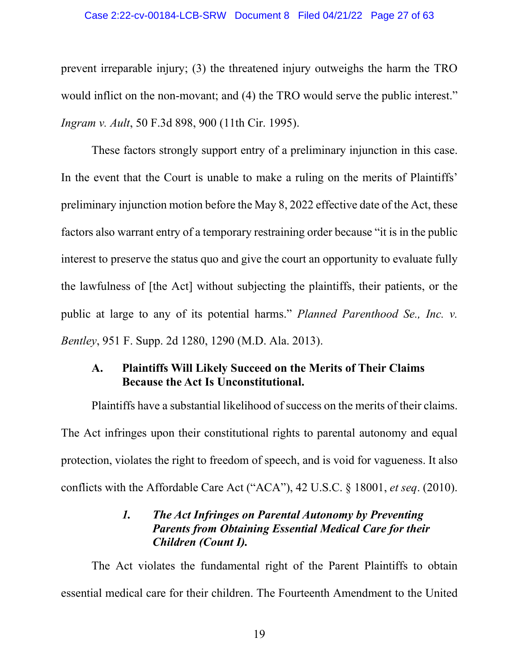#### Case 2:22-cv-00184-LCB-SRW Document 8 Filed 04/21/22 Page 27 of 63

prevent irreparable injury; (3) the threatened injury outweighs the harm the TRO would inflict on the non-movant; and (4) the TRO would serve the public interest." *Ingram v. Ault*, 50 F.3d 898, 900 (11th Cir. 1995).

These factors strongly support entry of a preliminary injunction in this case. In the event that the Court is unable to make a ruling on the merits of Plaintiffs' preliminary injunction motion before the May 8, 2022 effective date of the Act, these factors also warrant entry of a temporary restraining order because "it is in the public interest to preserve the status quo and give the court an opportunity to evaluate fully the lawfulness of [the Act] without subjecting the plaintiffs, their patients, or the public at large to any of its potential harms." *Planned Parenthood Se., Inc. v. Bentley*, 951 F. Supp. 2d 1280, 1290 (M.D. Ala. 2013).

# **A. Plaintiffs Will Likely Succeed on the Merits of Their Claims Because the Act Is Unconstitutional.**

Plaintiffs have a substantial likelihood of success on the merits of their claims. The Act infringes upon their constitutional rights to parental autonomy and equal protection, violates the right to freedom of speech, and is void for vagueness. It also conflicts with the Affordable Care Act ("ACA"), 42 U.S.C. § 18001, *et seq*. (2010).

# *1. The Act Infringes on Parental Autonomy by Preventing Parents from Obtaining Essential Medical Care for their Children (Count I).*

The Act violates the fundamental right of the Parent Plaintiffs to obtain essential medical care for their children. The Fourteenth Amendment to the United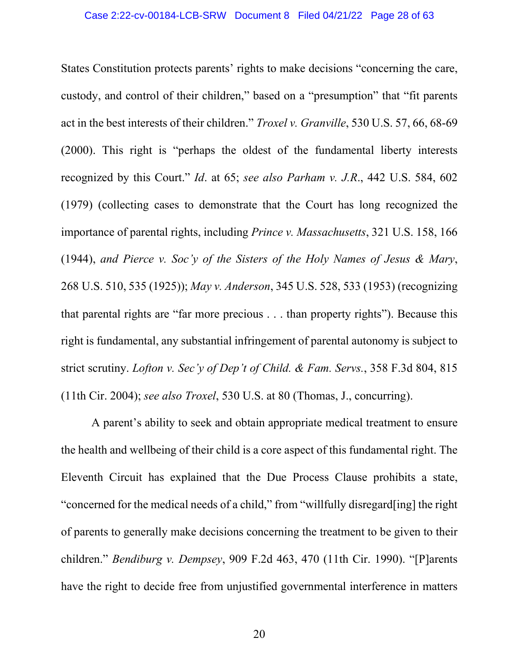States Constitution protects parents' rights to make decisions "concerning the care, custody, and control of their children," based on a "presumption" that "fit parents act in the best interests of their children." *Troxel v. Granville*, 530 U.S. 57, 66, 68-69 (2000). This right is "perhaps the oldest of the fundamental liberty interests recognized by this Court." *Id*. at 65; *see also Parham v. J.R*., 442 U.S. 584, 602 (1979) (collecting cases to demonstrate that the Court has long recognized the importance of parental rights, including *Prince v. Massachusetts*, 321 U.S. 158, 166 (1944), *and Pierce v. Soc'y of the Sisters of the Holy Names of Jesus & Mary*, 268 U.S. 510, 535 (1925)); *May v. Anderson*, 345 U.S. 528, 533 (1953) (recognizing that parental rights are "far more precious . . . than property rights"). Because this right is fundamental, any substantial infringement of parental autonomy is subject to strict scrutiny. *[Lofton v. Sec'y of Dep't of Child. & Fam. Servs.](https://1.next.westlaw.com/Link/Document/FullText?findType=Y&serNum=2004093014&pubNum=0000506&originatingDoc=I07c5ae6047f811eca49eee526a477d8b&refType=RP&fi=co_pp_sp_506_815&originationContext=document&transitionType=DocumentItem&ppcid=cccd514a0e0f42ccb7b4be25b767727b&contextData=(sc.Search)#co_pp_sp_506_815)*, 358 F.3d 804, 815 [\(11th Cir. 2004\);](https://1.next.westlaw.com/Link/Document/FullText?findType=Y&serNum=2004093014&pubNum=0000506&originatingDoc=I07c5ae6047f811eca49eee526a477d8b&refType=RP&fi=co_pp_sp_506_815&originationContext=document&transitionType=DocumentItem&ppcid=cccd514a0e0f42ccb7b4be25b767727b&contextData=(sc.Search)#co_pp_sp_506_815) *see also Troxel*, 530 U.S. at 80 (Thomas, J., concurring).

A parent's ability to seek and obtain appropriate medical treatment to ensure the health and wellbeing of their child is a core aspect of this fundamental right. The Eleventh Circuit has explained that the Due Process Clause prohibits a state, "concerned for the medical needs of a child," from "willfully disregard[ing] the right of parents to generally make decisions concerning the treatment to be given to their children." *Bendiburg v. Dempsey*, 909 F.2d 463, 470 (11th Cir. 1990). "[P]arents have the right to decide free from unjustified governmental interference in matters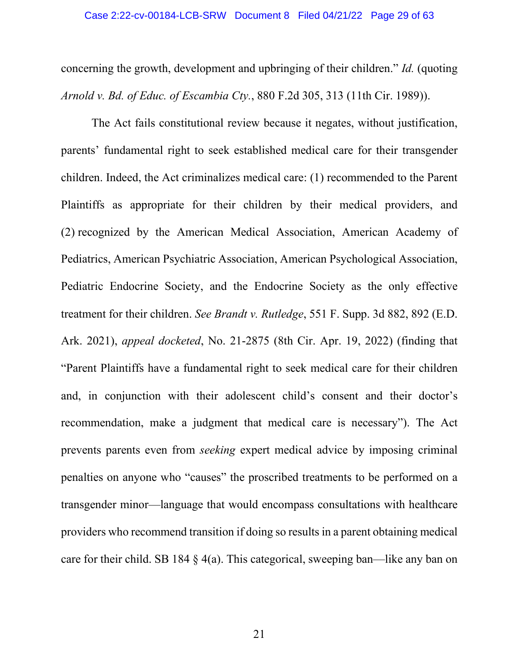concerning the growth, development and upbringing of their children." *Id.* (quoting *Arnold v. Bd. of Educ. of Escambia Cty.*, 880 F.2d 305, 313 (11th Cir. 1989)).

The Act fails constitutional review because it negates, without justification, parents' fundamental right to seek established medical care for their transgender children. Indeed, the Act criminalizes medical care: (1) recommended to the Parent Plaintiffs as appropriate for their children by their medical providers, and (2) recognized by the American Medical Association, American Academy of Pediatrics, American Psychiatric Association, American Psychological Association, Pediatric Endocrine Society, and the Endocrine Society as the only effective treatment for their children. *See Brandt v. Rutledge*, 551 F. Supp. 3d 882, 892 (E.D. Ark. 2021), *appeal docketed*, No. 21-2875 (8th Cir. Apr. 19, 2022) (finding that "Parent Plaintiffs have a fundamental right to seek medical care for their children and, in conjunction with their adolescent child's consent and their doctor's recommendation, make a judgment that medical care is necessary"). The Act prevents parents even from *seeking* expert medical advice by imposing criminal penalties on anyone who "causes" the proscribed treatments to be performed on a transgender minor—language that would encompass consultations with healthcare providers who recommend transition if doing so results in a parent obtaining medical care for their child. SB 184 § 4(a). This categorical, sweeping ban—like any ban on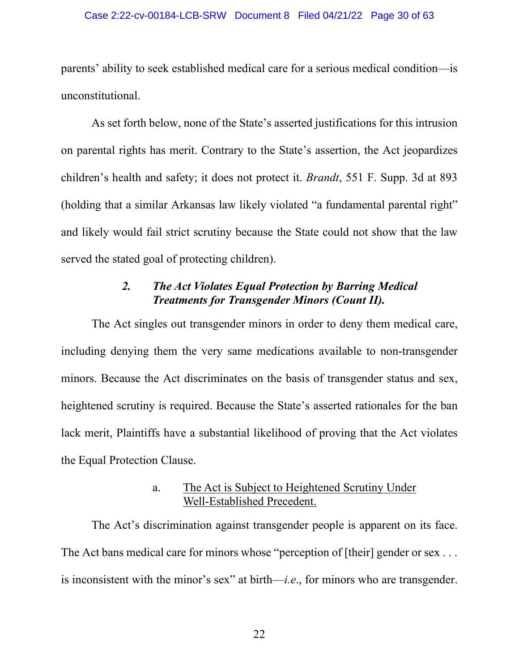#### Case 2:22-cv-00184-LCB-SRW Document 8 Filed 04/21/22 Page 30 of 63

parents' ability to seek established medical care for a serious medical condition—is unconstitutional.

As set forth below, none of the State's asserted justifications for this intrusion on parental rights has merit. Contrary to the State's assertion, the Act jeopardizes children's health and safety; it does not protect it. *Brandt*, 551 F. Supp. 3d at 893 (holding that a similar Arkansas law likely violated "a fundamental parental right" and likely would fail strict scrutiny because the State could not show that the law served the stated goal of protecting children).

# *2. The Act Violates Equal Protection by Barring Medical Treatments for Transgender Minors (Count II).*

The Act singles out transgender minors in order to deny them medical care, including denying them the very same medications available to non-transgender minors. Because the Act discriminates on the basis of transgender status and sex, heightened scrutiny is required. Because the State's asserted rationales for the ban lack merit, Plaintiffs have a substantial likelihood of proving that the Act violates the Equal Protection Clause.

# a. The Act is Subject to Heightened Scrutiny Under Well-Established Precedent.

The Act's discrimination against transgender people is apparent on its face. The Act bans medical care for minors whose "perception of [their] gender or sex ... is inconsistent with the minor's sex" at birth—*i.e*., for minors who are transgender.

22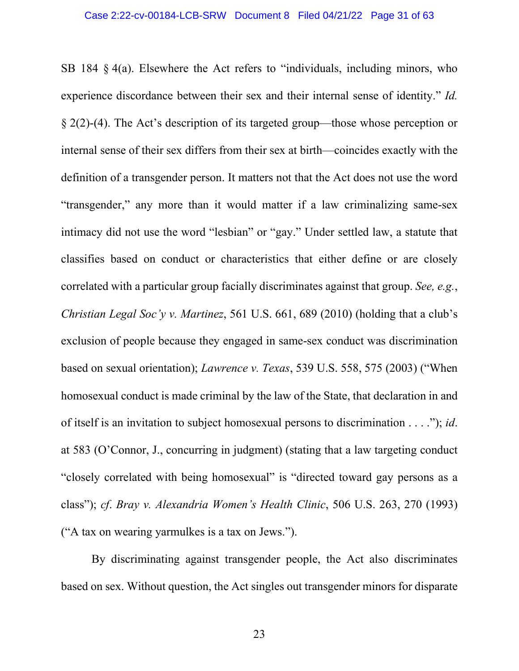SB 184 § 4(a). Elsewhere the Act refers to "individuals, including minors, who experience discordance between their sex and their internal sense of identity." *Id.* § 2(2)-(4). The Act's description of its targeted group—those whose perception or internal sense of their sex differs from their sex at birth—coincides exactly with the definition of a transgender person. It matters not that the Act does not use the word "transgender," any more than it would matter if a law criminalizing same-sex intimacy did not use the word "lesbian" or "gay." Under settled law, a statute that classifies based on conduct or characteristics that either define or are closely correlated with a particular group facially discriminates against that group. *See, e.g.*, *Christian Legal Soc'y v. Martinez*, 561 U.S. 661, 689 (2010) (holding that a club's exclusion of people because they engaged in same-sex conduct was discrimination based on sexual orientation); *Lawrence v. Texas*, 539 U.S. 558, 575 (2003) ("When homosexual conduct is made criminal by the law of the State, that declaration in and of itself is an invitation to subject homosexual persons to discrimination . . . ."); *id*. at 583 (O'Connor, J., concurring in judgment) (stating that a law targeting conduct "closely correlated with being homosexual" is "directed toward gay persons as a class"); *cf*. *Bray v. Alexandria Women's Health Clinic*, 506 U.S. 263, 270 (1993) ("A tax on wearing yarmulkes is a tax on Jews.").

By discriminating against transgender people, the Act also discriminates based on sex. Without question, the Act singles out transgender minors for disparate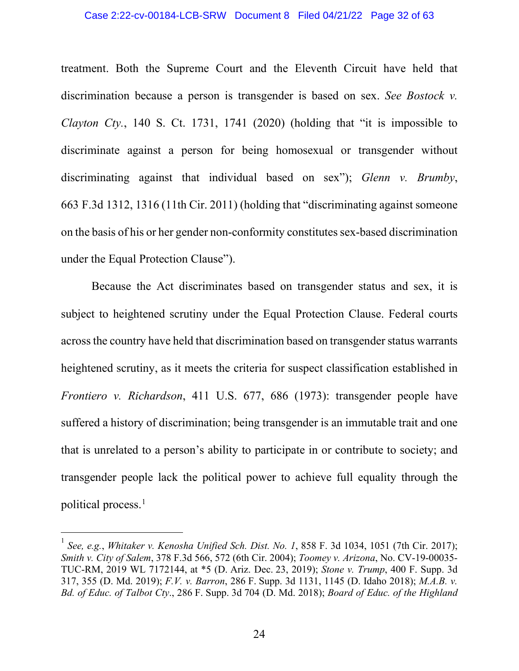#### Case 2:22-cv-00184-LCB-SRW Document 8 Filed 04/21/22 Page 32 of 63

treatment. Both the Supreme Court and the Eleventh Circuit have held that discrimination because a person is transgender is based on sex. *See Bostock v. Clayton Cty.*, 140 S. Ct. 1731, 1741 (2020) (holding that "it is impossible to discriminate against a person for being homosexual or transgender without discriminating against that individual based on sex"); *Glenn v. Brumby*, 663 F.3d 1312, 1316 (11th Cir. 2011) (holding that "discriminating against someone on the basis of his or her gender non-conformity constitutes sex-based discrimination under the Equal Protection Clause").

Because the Act discriminates based on transgender status and sex, it is subject to heightened scrutiny under the Equal Protection Clause. Federal courts across the country have held that discrimination based on transgender status warrants heightened scrutiny, as it meets the criteria for suspect classification established in *Frontiero v. Richardson*, 411 U.S. 677, 686 (1973): transgender people have suffered a history of discrimination; being transgender is an immutable trait and one that is unrelated to a person's ability to participate in or contribute to society; and transgender people lack the political power to achieve full equality through the political process.<sup>1</sup>

<sup>1</sup> *See, e.g.*, *Whitaker v. Kenosha Unified Sch. Dist. No. 1*, 858 F. 3d 1034, 1051 (7th Cir. 2017); *Smith v. City of Salem*, 378 F.3d 566, 572 (6th Cir. 2004); *Toomey v. Arizona*, No. CV-19-00035- TUC-RM, 2019 WL 7172144, at \*5 (D. Ariz. Dec. 23, 2019); *Stone v. Trump*, 400 F. Supp. 3d 317, 355 (D. Md. 2019); *F.V. v. Barron*, 286 F. Supp. 3d 1131, 1145 (D. Idaho 2018); *M.A.B. v. Bd. of Educ. of Talbot Cty*., 286 F. Supp. 3d 704 (D. Md. 2018); *Board of Educ. of the Highland*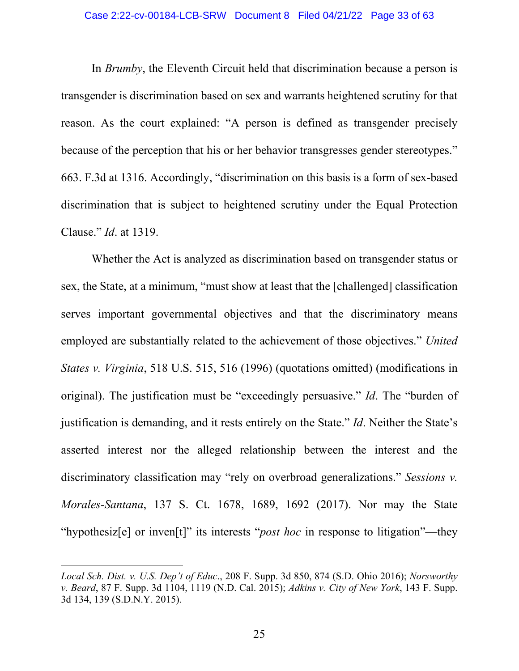#### Case 2:22-cv-00184-LCB-SRW Document 8 Filed 04/21/22 Page 33 of 63

In *Brumby*, the Eleventh Circuit held that discrimination because a person is transgender is discrimination based on sex and warrants heightened scrutiny for that reason. As the court explained: "A person is defined as transgender precisely because of the perception that his or her behavior transgresses gender stereotypes." 663. F.3d at 1316. Accordingly, "discrimination on this basis is a form of sex-based discrimination that is subject to heightened scrutiny under the Equal Protection Clause." *Id*. at 1319.

Whether the Act is analyzed as discrimination based on transgender status or sex, the State, at a minimum, "must show at least that the [challenged] classification serves important governmental objectives and that the discriminatory means employed are substantially related to the achievement of those objectives." *United States v. Virginia*, 518 U.S. 515, 516 (1996) (quotations omitted) (modifications in original). The justification must be "exceedingly persuasive." *Id*. The "burden of justification is demanding, and it rests entirely on the State." *Id*. Neither the State's asserted interest nor the alleged relationship between the interest and the discriminatory classification may "rely on overbroad generalizations." *Sessions v. Morales-Santana*, 137 S. Ct. 1678, 1689, 1692 (2017). Nor may the State "hypothesiz[e] or inven[t]" its interests "*post hoc* in response to litigation"—they

*Local Sch. Dist. v. U.S. Dep't of Educ*., 208 F. Supp. 3d 850, 874 (S.D. Ohio 2016); *Norsworthy v. Beard*, 87 F. Supp. 3d 1104, 1119 (N.D. Cal. 2015); *Adkins v. City of New York*, 143 F. Supp. 3d 134, 139 (S.D.N.Y. 2015).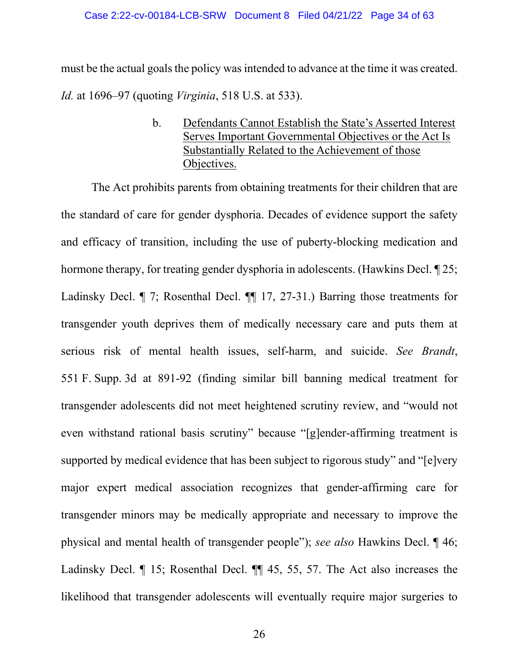#### Case 2:22-cv-00184-LCB-SRW Document 8 Filed 04/21/22 Page 34 of 63

must be the actual goals the policy was intended to advance at the time it was created. *Id.* at 1696–97 (quoting *Virginia*, 518 U.S. at 533).

> b. Defendants Cannot Establish the State's Asserted Interest Serves Important Governmental Objectives or the Act Is Substantially Related to the Achievement of those Objectives.

The Act prohibits parents from obtaining treatments for their children that are the standard of care for gender dysphoria. Decades of evidence support the safety and efficacy of transition, including the use of puberty-blocking medication and hormone therapy, for treating gender dysphoria in adolescents. (Hawkins Decl. ¶ 25; Ladinsky Decl. ¶ 7; Rosenthal Decl. ¶¶ 17, 27-31.) Barring those treatments for transgender youth deprives them of medically necessary care and puts them at serious risk of mental health issues, self-harm, and suicide. *See Brandt*, 551 F. Supp. 3d at 891-92 (finding similar bill banning medical treatment for transgender adolescents did not meet heightened scrutiny review, and "would not even withstand rational basis scrutiny" because "[g]ender-affirming treatment is supported by medical evidence that has been subject to rigorous study" and "[e]very major expert medical association recognizes that gender-affirming care for transgender minors may be medically appropriate and necessary to improve the physical and mental health of transgender people"); *see also* Hawkins Decl. ¶ 46; Ladinsky Decl. ¶ 15; Rosenthal Decl. ¶¶ 45, 55, 57. The Act also increases the likelihood that transgender adolescents will eventually require major surgeries to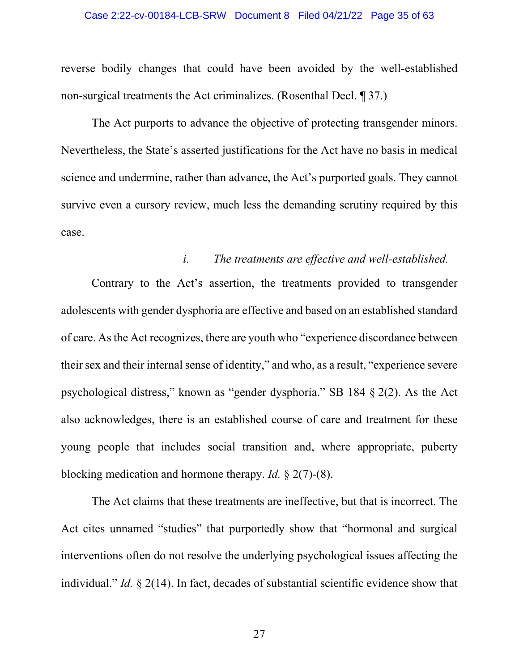#### Case 2:22-cv-00184-LCB-SRW Document 8 Filed 04/21/22 Page 35 of 63

reverse bodily changes that could have been avoided by the well-established non-surgical treatments the Act criminalizes. (Rosenthal Decl. ¶ 37.)

The Act purports to advance the objective of protecting transgender minors. Nevertheless, the State's asserted justifications for the Act have no basis in medical science and undermine, rather than advance, the Act's purported goals. They cannot survive even a cursory review, much less the demanding scrutiny required by this case.

### *i. The treatments are effective and well-established.*

Contrary to the Act's assertion, the treatments provided to transgender adolescents with gender dysphoria are effective and based on an established standard of care. As the Act recognizes, there are youth who "experience discordance between their sex and their internal sense of identity," and who, as a result, "experience severe psychological distress," known as "gender dysphoria." SB 184 § 2(2). As the Act also acknowledges, there is an established course of care and treatment for these young people that includes social transition and, where appropriate, puberty blocking medication and hormone therapy. *Id.* § 2(7)-(8).

The Act claims that these treatments are ineffective, but that is incorrect. The Act cites unnamed "studies" that purportedly show that "hormonal and surgical interventions often do not resolve the underlying psychological issues affecting the individual." *Id.* § 2(14). In fact, decades of substantial scientific evidence show that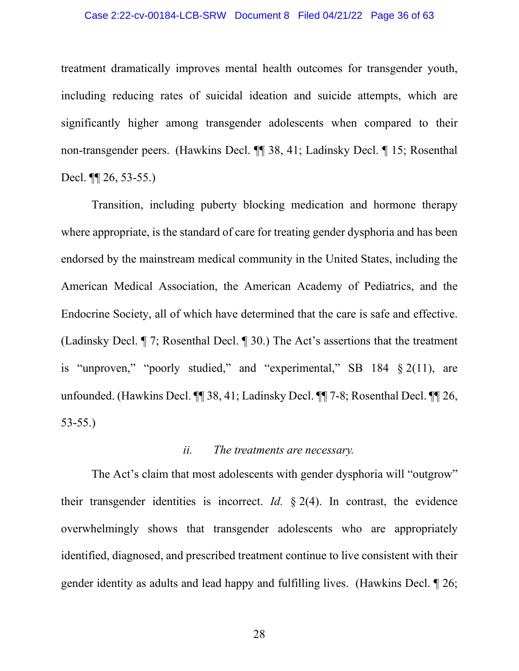#### Case 2:22-cv-00184-LCB-SRW Document 8 Filed 04/21/22 Page 36 of 63

treatment dramatically improves mental health outcomes for transgender youth, including reducing rates of suicidal ideation and suicide attempts, which are significantly higher among transgender adolescents when compared to their non-transgender peers. (Hawkins Decl. ¶¶ 38, 41; Ladinsky Decl. ¶ 15; Rosenthal Decl. ¶¶ 26, 53-55.)

Transition, including puberty blocking medication and hormone therapy where appropriate, is the standard of care for treating gender dysphoria and has been endorsed by the mainstream medical community in the United States, including the American Medical Association, the American Academy of Pediatrics, and the Endocrine Society, all of which have determined that the care is safe and effective. (Ladinsky Decl. ¶ 7; Rosenthal Decl. ¶ 30.) The Act's assertions that the treatment is "unproven," "poorly studied," and "experimental," SB 184 § 2(11), are unfounded. (Hawkins Decl. ¶¶ 38, 41; Ladinsky Decl. ¶¶ 7-8; Rosenthal Decl. ¶¶ 26, 53-55.)

### *ii. The treatments are necessary.*

The Act's claim that most adolescents with gender dysphoria will "outgrow" their transgender identities is incorrect. *Id.* § 2(4). In contrast, the evidence overwhelmingly shows that transgender adolescents who are appropriately identified, diagnosed, and prescribed treatment continue to live consistent with their gender identity as adults and lead happy and fulfilling lives. (Hawkins Decl. ¶ 26;

28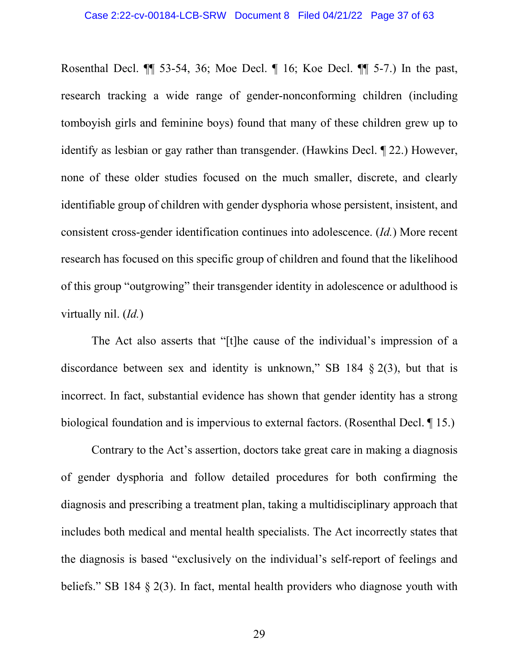Rosenthal Decl. ¶¶ 53-54, 36; Moe Decl. ¶ 16; Koe Decl. ¶¶ 5-7.) In the past, research tracking a wide range of gender-nonconforming children (including tomboyish girls and feminine boys) found that many of these children grew up to identify as lesbian or gay rather than transgender. (Hawkins Decl. ¶ 22.) However, none of these older studies focused on the much smaller, discrete, and clearly identifiable group of children with gender dysphoria whose persistent, insistent, and consistent cross-gender identification continues into adolescence. (*Id.*) More recent research has focused on this specific group of children and found that the likelihood of this group "outgrowing" their transgender identity in adolescence or adulthood is virtually nil. (*Id.*)

The Act also asserts that "[t]he cause of the individual's impression of a discordance between sex and identity is unknown," SB 184  $\S$  2(3), but that is incorrect. In fact, substantial evidence has shown that gender identity has a strong biological foundation and is impervious to external factors. (Rosenthal Decl. ¶ 15.)

Contrary to the Act's assertion, doctors take great care in making a diagnosis of gender dysphoria and follow detailed procedures for both confirming the diagnosis and prescribing a treatment plan, taking a multidisciplinary approach that includes both medical and mental health specialists. The Act incorrectly states that the diagnosis is based "exclusively on the individual's self-report of feelings and beliefs." SB 184 § 2(3). In fact, mental health providers who diagnose youth with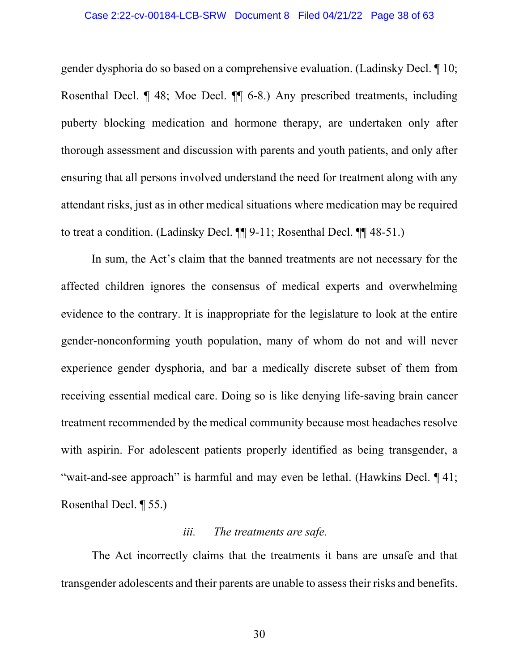#### Case 2:22-cv-00184-LCB-SRW Document 8 Filed 04/21/22 Page 38 of 63

gender dysphoria do so based on a comprehensive evaluation. (Ladinsky Decl. ¶ 10; Rosenthal Decl. ¶ 48; Moe Decl. ¶¶ 6-8.) Any prescribed treatments, including puberty blocking medication and hormone therapy, are undertaken only after thorough assessment and discussion with parents and youth patients, and only after ensuring that all persons involved understand the need for treatment along with any attendant risks, just as in other medical situations where medication may be required to treat a condition. (Ladinsky Decl. ¶¶ 9-11; Rosenthal Decl. ¶¶ 48-51.)

In sum, the Act's claim that the banned treatments are not necessary for the affected children ignores the consensus of medical experts and overwhelming evidence to the contrary. It is inappropriate for the legislature to look at the entire gender-nonconforming youth population, many of whom do not and will never experience gender dysphoria, and bar a medically discrete subset of them from receiving essential medical care. Doing so is like denying life-saving brain cancer treatment recommended by the medical community because most headaches resolve with aspirin. For adolescent patients properly identified as being transgender, a "wait-and-see approach" is harmful and may even be lethal. (Hawkins Decl. 141; Rosenthal Decl. ¶ 55.)

### *iii. The treatments are safe.*

The Act incorrectly claims that the treatments it bans are unsafe and that transgender adolescents and their parents are unable to assess their risks and benefits.

30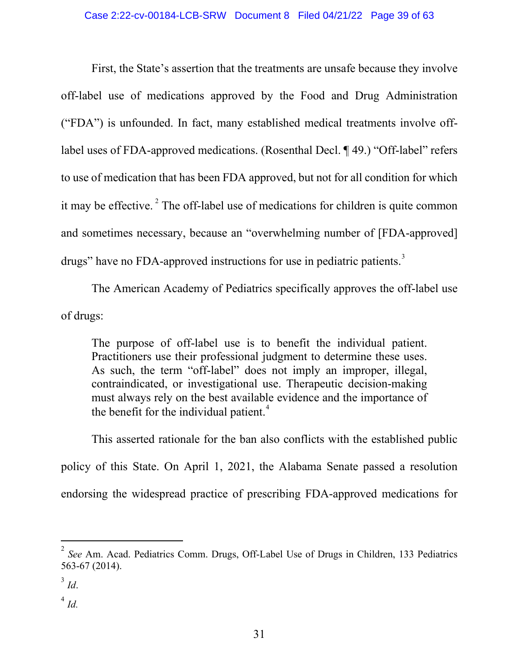First, the State's assertion that the treatments are unsafe because they involve off-label use of medications approved by the Food and Drug Administration ("FDA") is unfounded. In fact, many established medical treatments involve offlabel uses of FDA-approved medications. (Rosenthal Decl. ¶ 49.) "Off-label" refers to use of medication that has been FDA approved, but not for all condition for which it may be effective.<sup>2</sup> The off-label use of medications for children is quite common and sometimes necessary, because an "overwhelming number of [FDA-approved] drugs" have no FDA-approved instructions for use in pediatric patients.<sup>3</sup>

The American Academy of Pediatrics specifically approves the off-label use of drugs:

The purpose of off-label use is to benefit the individual patient. Practitioners use their professional judgment to determine these uses. As such, the term "off-label" does not imply an improper, illegal, contraindicated, or investigational use. Therapeutic decision-making must always rely on the best available evidence and the importance of the benefit for the individual patient.<sup>4</sup>

This asserted rationale for the ban also conflicts with the established public policy of this State. On April 1, 2021, the Alabama Senate passed a resolution endorsing the widespread practice of prescribing FDA-approved medications for

<sup>2</sup> *See* Am. Acad. Pediatrics Comm. Drugs, Off-Label Use of Drugs in Children, 133 Pediatrics 563-67 (2014).

 $3$  *Id.* 

 $\int^4 Id.$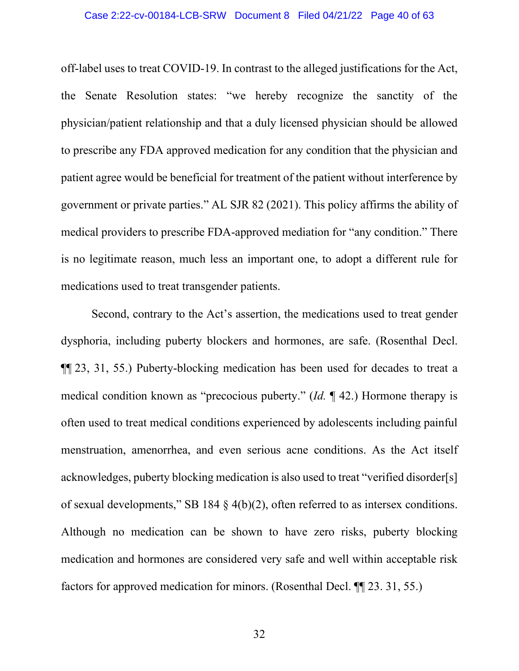#### Case 2:22-cv-00184-LCB-SRW Document 8 Filed 04/21/22 Page 40 of 63

off-label uses to treat COVID-19. In contrast to the alleged justifications for the Act, the Senate Resolution states: "we hereby recognize the sanctity of the physician/patient relationship and that a duly licensed physician should be allowed to prescribe any FDA approved medication for any condition that the physician and patient agree would be beneficial for treatment of the patient without interference by government or private parties." AL SJR 82 (2021). This policy affirms the ability of medical providers to prescribe FDA-approved mediation for "any condition." There is no legitimate reason, much less an important one, to adopt a different rule for medications used to treat transgender patients.

Second, contrary to the Act's assertion, the medications used to treat gender dysphoria, including puberty blockers and hormones, are safe. (Rosenthal Decl. ¶¶ 23, 31, 55.) Puberty-blocking medication has been used for decades to treat a medical condition known as "precocious puberty." (*Id.* ¶ 42.) Hormone therapy is often used to treat medical conditions experienced by adolescents including painful menstruation, amenorrhea, and even serious acne conditions. As the Act itself acknowledges, puberty blocking medication is also used to treat "verified disorder[s] of sexual developments," SB 184 § 4(b)(2), often referred to as intersex conditions. Although no medication can be shown to have zero risks, puberty blocking medication and hormones are considered very safe and well within acceptable risk factors for approved medication for minors. (Rosenthal Decl. ¶¶ 23. 31, 55.)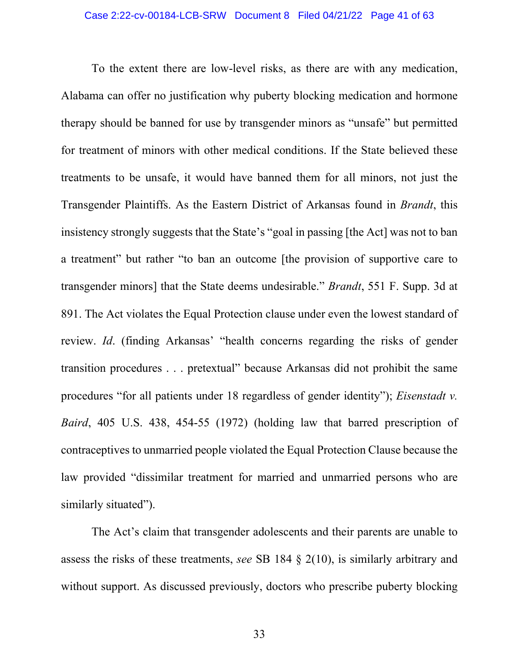To the extent there are low-level risks, as there are with any medication, Alabama can offer no justification why puberty blocking medication and hormone therapy should be banned for use by transgender minors as "unsafe" but permitted for treatment of minors with other medical conditions. If the State believed these treatments to be unsafe, it would have banned them for all minors, not just the Transgender Plaintiffs. As the Eastern District of Arkansas found in *Brandt*, this insistency strongly suggests that the State's "goal in passing [the Act] was not to ban a treatment" but rather "to ban an outcome [the provision of supportive care to transgender minors] that the State deems undesirable." *Brandt*, 551 F. Supp. 3d at 891. The Act violates the Equal Protection clause under even the lowest standard of review. *Id*. (finding Arkansas' "health concerns regarding the risks of gender transition procedures . . . pretextual" because Arkansas did not prohibit the same procedures "for all patients under 18 regardless of gender identity"); *Eisenstadt v. Baird*, 405 U.S. 438, 454-55 (1972) (holding law that barred prescription of contraceptives to unmarried people violated the Equal Protection Clause because the law provided "dissimilar treatment for married and unmarried persons who are similarly situated").

The Act's claim that transgender adolescents and their parents are unable to assess the risks of these treatments, *see* SB 184 § 2(10), is similarly arbitrary and without support. As discussed previously, doctors who prescribe puberty blocking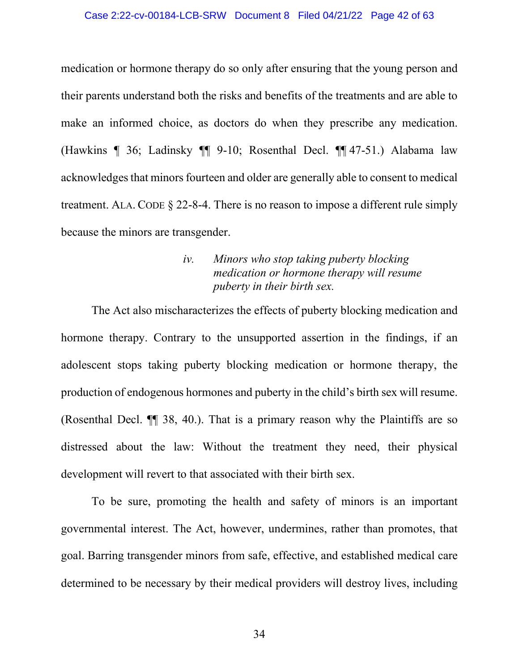#### Case 2:22-cv-00184-LCB-SRW Document 8 Filed 04/21/22 Page 42 of 63

medication or hormone therapy do so only after ensuring that the young person and their parents understand both the risks and benefits of the treatments and are able to make an informed choice, as doctors do when they prescribe any medication. (Hawkins ¶ 36; Ladinsky ¶¶ 9-10; Rosenthal Decl. ¶¶ 47-51.) Alabama law acknowledges that minors fourteen and older are generally able to consent to medical treatment. ALA. CODE § 22-8-4. There is no reason to impose a different rule simply because the minors are transgender.

# *iv. Minors who stop taking puberty blocking medication or hormone therapy will resume puberty in their birth sex.*

The Act also mischaracterizes the effects of puberty blocking medication and hormone therapy. Contrary to the unsupported assertion in the findings, if an adolescent stops taking puberty blocking medication or hormone therapy, the production of endogenous hormones and puberty in the child's birth sex will resume. (Rosenthal Decl. ¶¶ 38, 40.). That is a primary reason why the Plaintiffs are so distressed about the law: Without the treatment they need, their physical development will revert to that associated with their birth sex.

To be sure, promoting the health and safety of minors is an important governmental interest. The Act, however, undermines, rather than promotes, that goal. Barring transgender minors from safe, effective, and established medical care determined to be necessary by their medical providers will destroy lives, including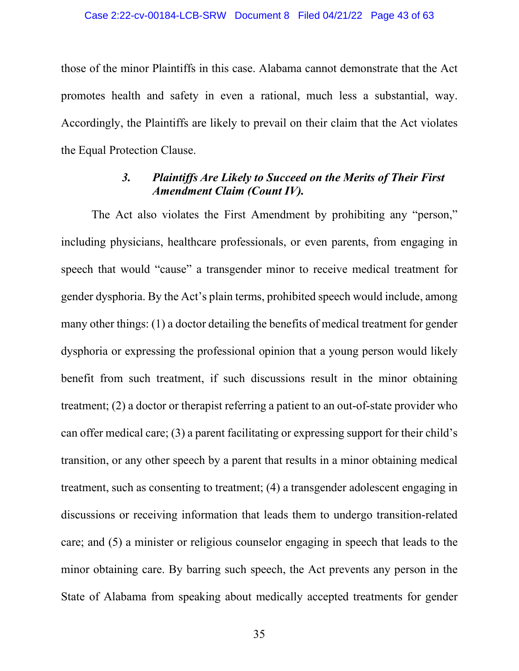those of the minor Plaintiffs in this case. Alabama cannot demonstrate that the Act promotes health and safety in even a rational, much less a substantial, way. Accordingly, the Plaintiffs are likely to prevail on their claim that the Act violates the Equal Protection Clause.

# *3. Plaintiffs Are Likely to Succeed on the Merits of Their First Amendment Claim (Count IV).*

The Act also violates the First Amendment by prohibiting any "person," including physicians, healthcare professionals, or even parents, from engaging in speech that would "cause" a transgender minor to receive medical treatment for gender dysphoria. By the Act's plain terms, prohibited speech would include, among many other things: (1) a doctor detailing the benefits of medical treatment for gender dysphoria or expressing the professional opinion that a young person would likely benefit from such treatment, if such discussions result in the minor obtaining treatment; (2) a doctor or therapist referring a patient to an out-of-state provider who can offer medical care; (3) a parent facilitating or expressing support for their child's transition, or any other speech by a parent that results in a minor obtaining medical treatment, such as consenting to treatment; (4) a transgender adolescent engaging in discussions or receiving information that leads them to undergo transition-related care; and (5) a minister or religious counselor engaging in speech that leads to the minor obtaining care. By barring such speech, the Act prevents any person in the State of Alabama from speaking about medically accepted treatments for gender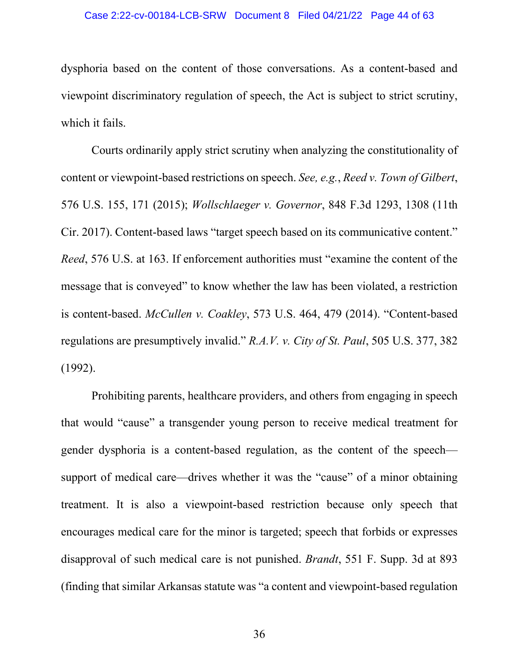#### Case 2:22-cv-00184-LCB-SRW Document 8 Filed 04/21/22 Page 44 of 63

dysphoria based on the content of those conversations. As a content-based and viewpoint discriminatory regulation of speech, the Act is subject to strict scrutiny, which it fails.

Courts ordinarily apply strict scrutiny when analyzing the constitutionality of content or viewpoint-based restrictions on speech. *See, e.g.*, *Reed v. Town of Gilbert*, 576 U.S. 155, 171 (2015); *Wollschlaeger v. Governor*, 848 F.3d 1293, 1308 (11th Cir. 2017). Content-based laws "target speech based on its communicative content." *Reed*, 576 U.S. at 163. If enforcement authorities must "examine the content of the message that is conveyed" to know whether the law has been violated, a restriction is content-based. *McCullen v. Coakley*, 573 U.S. 464, 479 (2014). "Content-based regulations are presumptively invalid." *R.A.V. v. City of St. Paul*, 505 U.S. 377, 382 (1992).

Prohibiting parents, healthcare providers, and others from engaging in speech that would "cause" a transgender young person to receive medical treatment for gender dysphoria is a content-based regulation, as the content of the speech support of medical care—drives whether it was the "cause" of a minor obtaining treatment. It is also a viewpoint-based restriction because only speech that encourages medical care for the minor is targeted; speech that forbids or expresses disapproval of such medical care is not punished. *Brandt*, 551 F. Supp. 3d at 893 (finding that similar Arkansas statute was "a content and viewpoint-based regulation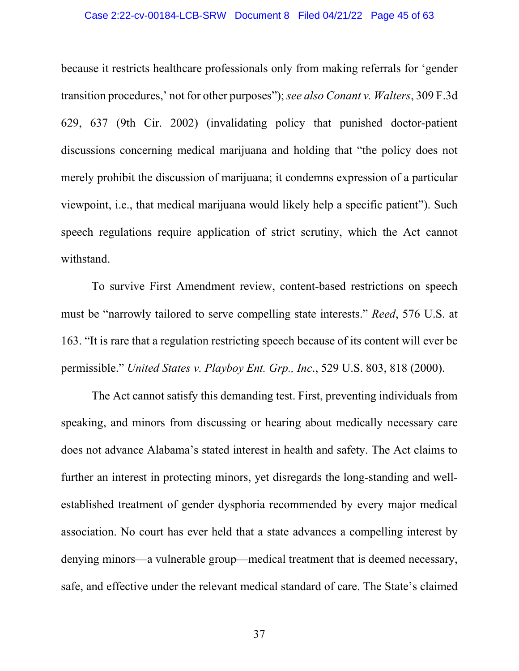#### Case 2:22-cv-00184-LCB-SRW Document 8 Filed 04/21/22 Page 45 of 63

because it restricts healthcare professionals only from making referrals for 'gender transition procedures,' not for other purposes");*see also Conant v. Walters*, 309 F.3d 629, 637 (9th Cir. 2002) (invalidating policy that punished doctor-patient discussions concerning medical marijuana and holding that "the policy does not merely prohibit the discussion of marijuana; it condemns expression of a particular viewpoint, i.e., that medical marijuana would likely help a specific patient"). Such speech regulations require application of strict scrutiny, which the Act cannot withstand.

To survive First Amendment review, content-based restrictions on speech must be "narrowly tailored to serve compelling state interests." *Reed*, 576 U.S. at 163. "It is rare that a regulation restricting speech because of its content will ever be permissible." *United States v. Playboy Ent. Grp., Inc*., 529 U.S. 803, 818 (2000).

The Act cannot satisfy this demanding test. First, preventing individuals from speaking, and minors from discussing or hearing about medically necessary care does not advance Alabama's stated interest in health and safety. The Act claims to further an interest in protecting minors, yet disregards the long-standing and wellestablished treatment of gender dysphoria recommended by every major medical association. No court has ever held that a state advances a compelling interest by denying minors—a vulnerable group—medical treatment that is deemed necessary, safe, and effective under the relevant medical standard of care. The State's claimed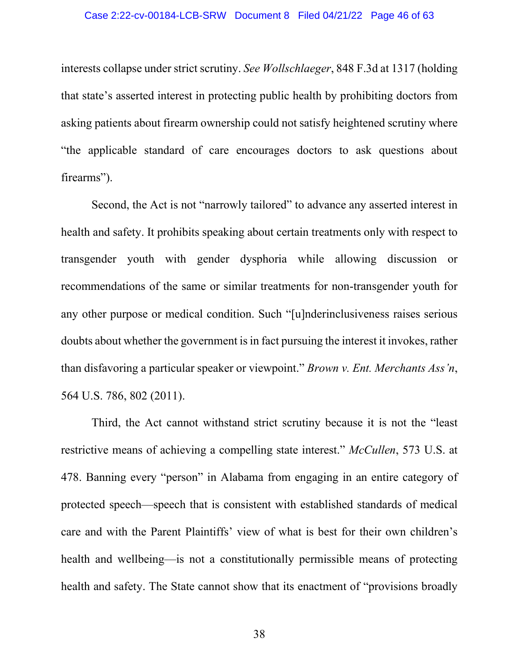#### Case 2:22-cv-00184-LCB-SRW Document 8 Filed 04/21/22 Page 46 of 63

interests collapse under strict scrutiny. *See Wollschlaeger*, 848 F.3d at 1317 (holding that state's asserted interest in protecting public health by prohibiting doctors from asking patients about firearm ownership could not satisfy heightened scrutiny where "the applicable standard of care encourages doctors to ask questions about firearms").

Second, the Act is not "narrowly tailored" to advance any asserted interest in health and safety. It prohibits speaking about certain treatments only with respect to transgender youth with gender dysphoria while allowing discussion or recommendations of the same or similar treatments for non-transgender youth for any other purpose or medical condition. Such "[u]nderinclusiveness raises serious doubts about whether the government is in fact pursuing the interest it invokes, rather than disfavoring a particular speaker or viewpoint." *Brown v. Ent. Merchants Ass'n*, 564 U.S. 786, 802 (2011).

Third, the Act cannot withstand strict scrutiny because it is not the "least restrictive means of achieving a compelling state interest." *McCullen*, 573 U.S. at 478. Banning every "person" in Alabama from engaging in an entire category of protected speech—speech that is consistent with established standards of medical care and with the Parent Plaintiffs' view of what is best for their own children's health and wellbeing—is not a constitutionally permissible means of protecting health and safety. The State cannot show that its enactment of "provisions broadly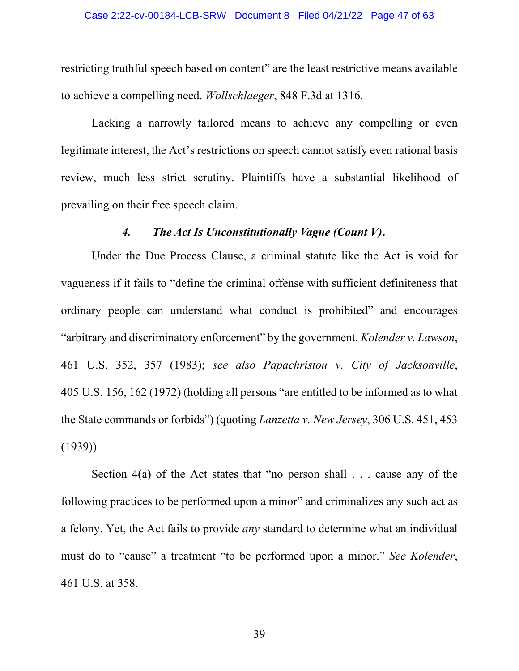restricting truthful speech based on content" are the least restrictive means available to achieve a compelling need. *Wollschlaeger*, 848 F.3d at 1316.

Lacking a narrowly tailored means to achieve any compelling or even legitimate interest, the Act's restrictions on speech cannot satisfy even rational basis review, much less strict scrutiny. Plaintiffs have a substantial likelihood of prevailing on their free speech claim.

### *4. The Act Is Unconstitutionally Vague (Count V)***.**

Under the Due Process Clause, a criminal statute like the Act is void for vagueness if it fails to "define the criminal offense with sufficient definiteness that ordinary people can understand what conduct is prohibited" and encourages "arbitrary and discriminatory enforcement" by the government. *Kolender v. Lawson*, 461 U.S. 352, 357 (1983); *see also Papachristou v. City of Jacksonville*, 405 U.S. 156, 162 (1972) (holding all persons "are entitled to be informed as to what the State commands or forbids") (quoting *Lanzetta v. New Jersey*, 306 U.S. 451, 453  $(1939)$ ).

Section  $4(a)$  of the Act states that "no person shall . . . cause any of the following practices to be performed upon a minor" and criminalizes any such act as a felony. Yet, the Act fails to provide *any* standard to determine what an individual must do to "cause" a treatment "to be performed upon a minor." *See Kolender*, 461 U.S. at 358.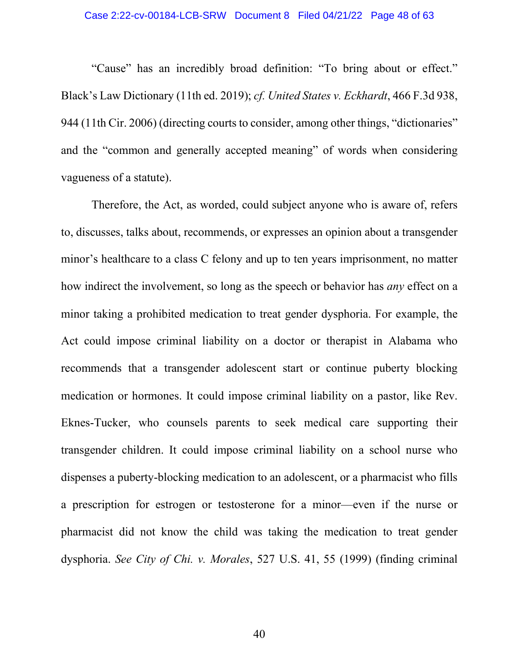"Cause" has an incredibly broad definition: "To bring about or effect." Black's Law Dictionary (11th ed. 2019); *cf. United States v. Eckhardt*, 466 F.3d 938, 944 (11th Cir. 2006) (directing courts to consider, among other things, "dictionaries" and the "common and generally accepted meaning" of words when considering vagueness of a statute).

Therefore, the Act, as worded, could subject anyone who is aware of, refers to, discusses, talks about, recommends, or expresses an opinion about a transgender minor's healthcare to a class C felony and up to ten years imprisonment, no matter how indirect the involvement, so long as the speech or behavior has *any* effect on a minor taking a prohibited medication to treat gender dysphoria. For example, the Act could impose criminal liability on a doctor or therapist in Alabama who recommends that a transgender adolescent start or continue puberty blocking medication or hormones. It could impose criminal liability on a pastor, like Rev. Eknes-Tucker, who counsels parents to seek medical care supporting their transgender children. It could impose criminal liability on a school nurse who dispenses a puberty-blocking medication to an adolescent, or a pharmacist who fills a prescription for estrogen or testosterone for a minor—even if the nurse or pharmacist did not know the child was taking the medication to treat gender dysphoria. *See City of Chi. v. Morales*, 527 U.S. 41, 55 (1999) (finding criminal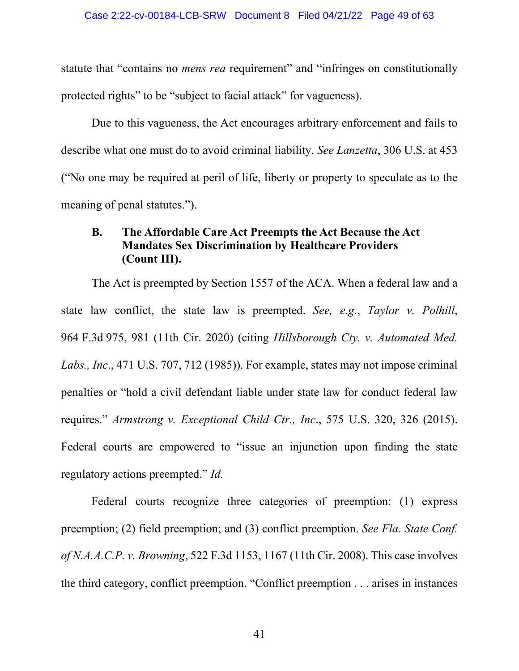statute that "contains no *mens rea* requirement" and "infringes on constitutionally protected rights" to be "subject to facial attack" for vagueness).

Due to this vagueness, the Act encourages arbitrary enforcement and fails to describe what one must do to avoid criminal liability. *See Lanzetta*, 306 U.S. at 453 ("No one may be required at peril of life, liberty or property to speculate as to the meaning of penal statutes.").

## **B. The Affordable Care Act Preempts the Act Because the Act Mandates Sex Discrimination by Healthcare Providers (Count III).**

The Act is preempted by Section 1557 of the ACA. When a federal law and a state law conflict, the state law is preempted. *See, e.g.*, *Taylor v. Polhill*, 964 F.3d 975, 981 (11th Cir. 2020) (citing *Hillsborough Cty. v. Automated Med. Labs., Inc*., 471 U.S. 707, 712 (1985)). For example, states may not impose criminal penalties or "hold a civil defendant liable under state law for conduct federal law requires." *Armstrong v. Exceptional Child Ctr., Inc*., 575 U.S. 320, 326 (2015). Federal courts are empowered to "issue an injunction upon finding the state regulatory actions preempted." *Id.*

Federal courts recognize three categories of preemption: (1) express preemption; (2) field preemption; and (3) conflict preemption. *See Fla. State Conf. of N.A.A.C.P. v. Browning*, 522 F.3d 1153, 1167 (11th Cir. 2008). This case involves the third category, conflict preemption. "Conflict preemption . . . arises in instances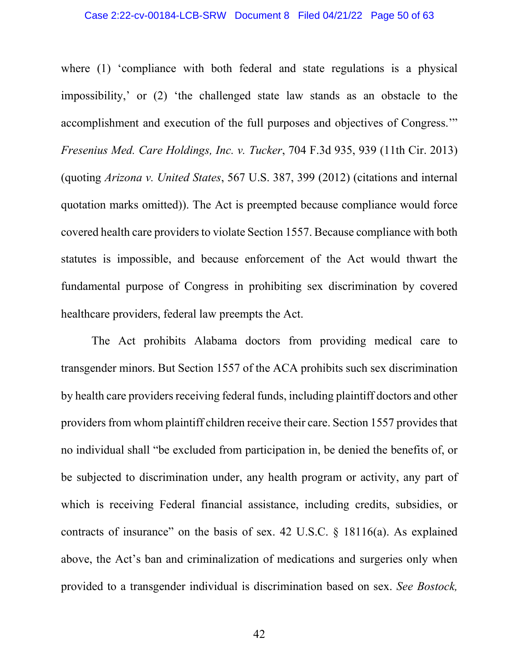where (1) 'compliance with both federal and state regulations is a physical impossibility,' or (2) 'the challenged state law stands as an obstacle to the accomplishment and execution of the full purposes and objectives of Congress.'" *Fresenius Med. Care Holdings, Inc. v. Tucker*, 704 F.3d 935, 939 (11th Cir. 2013) (quoting *Arizona v. United States*, 567 U.S. 387, 399 (2012) (citations and internal quotation marks omitted)). The Act is preempted because compliance would force covered health care providers to violate Section 1557. Because compliance with both statutes is impossible, and because enforcement of the Act would thwart the fundamental purpose of Congress in prohibiting sex discrimination by covered healthcare providers, federal law preempts the Act.

The Act prohibits Alabama doctors from providing medical care to transgender minors. But Section 1557 of the ACA prohibits such sex discrimination by health care providers receiving federal funds, including plaintiff doctors and other providers from whom plaintiff children receive their care. Section 1557 provides that no individual shall "be excluded from participation in, be denied the benefits of, or be subjected to discrimination under, any health program or activity, any part of which is receiving Federal financial assistance, including credits, subsidies, or contracts of insurance" on the basis of sex. 42 U.S.C. § 18116(a). As explained above, the Act's ban and criminalization of medications and surgeries only when provided to a transgender individual is discrimination based on sex. *See Bostock,*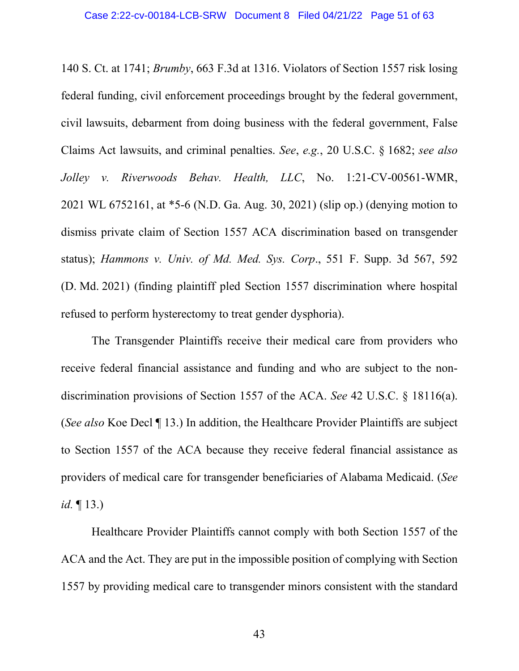140 S. Ct. at 1741; *Brumby*, 663 F.3d at 1316. Violators of Section 1557 risk losing federal funding, civil enforcement proceedings brought by the federal government, civil lawsuits, debarment from doing business with the federal government, False Claims Act lawsuits, and criminal penalties. *See*, *e.g.*, 20 U.S.C. § 1682; *see also Jolley v. Riverwoods Behav. Health, LLC*, No. 1:21-CV-00561-WMR, 2021 WL 6752161, at \*5-6 (N.D. Ga. Aug. 30, 2021) (slip op.) (denying motion to dismiss private claim of Section 1557 ACA discrimination based on transgender status); *Hammons v. Univ. of Md. Med. Sys. Corp*., 551 F. Supp. 3d 567, 592 (D. Md. 2021) (finding plaintiff pled Section 1557 discrimination where hospital refused to perform hysterectomy to treat gender dysphoria).

The Transgender Plaintiffs receive their medical care from providers who receive federal financial assistance and funding and who are subject to the nondiscrimination provisions of Section 1557 of the ACA. *See* 42 U.S.C. § 18116(a). (*See also* Koe Decl ¶ 13.) In addition, the Healthcare Provider Plaintiffs are subject to Section 1557 of the ACA because they receive federal financial assistance as providers of medical care for transgender beneficiaries of Alabama Medicaid. (*See id.* ¶ 13.)

Healthcare Provider Plaintiffs cannot comply with both Section 1557 of the ACA and the Act. They are put in the impossible position of complying with Section 1557 by providing medical care to transgender minors consistent with the standard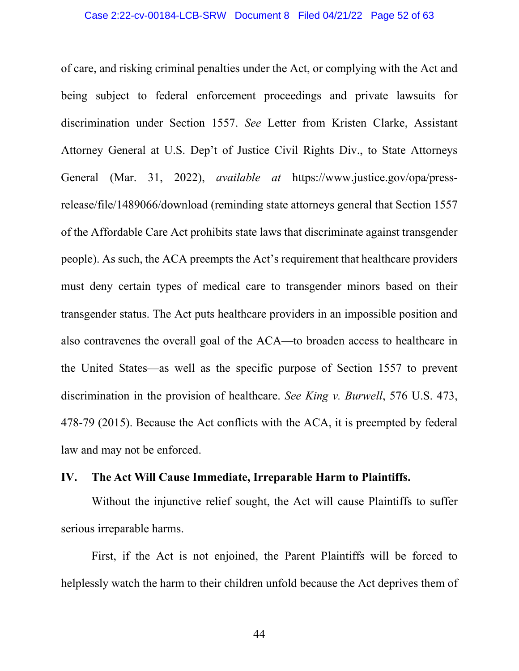of care, and risking criminal penalties under the Act, or complying with the Act and being subject to federal enforcement proceedings and private lawsuits for discrimination under Section 1557. *See* Letter from Kristen Clarke, Assistant Attorney General at U.S. Dep't of Justice Civil Rights Div., to State Attorneys General (Mar. 31, 2022), *available at* https://www.justice.gov/opa/pressrelease/file/1489066/download (reminding state attorneys general that Section 1557 of the Affordable Care Act prohibits state laws that discriminate against transgender people). As such, the ACA preempts the Act's requirement that healthcare providers must deny certain types of medical care to transgender minors based on their transgender status. The Act puts healthcare providers in an impossible position and also contravenes the overall goal of the ACA—to broaden access to healthcare in the United States—as well as the specific purpose of Section 1557 to prevent discrimination in the provision of healthcare. *See King v. Burwell*, 576 U.S. 473, 478-79 (2015). Because the Act conflicts with the ACA, it is preempted by federal law and may not be enforced.

### **IV. The Act Will Cause Immediate, Irreparable Harm to Plaintiffs.**

Without the injunctive relief sought, the Act will cause Plaintiffs to suffer serious irreparable harms.

First, if the Act is not enjoined, the Parent Plaintiffs will be forced to helplessly watch the harm to their children unfold because the Act deprives them of

44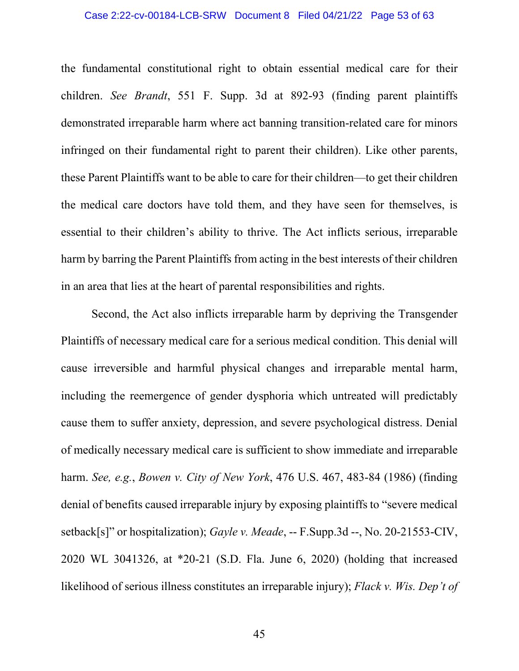#### Case 2:22-cv-00184-LCB-SRW Document 8 Filed 04/21/22 Page 53 of 63

the fundamental constitutional right to obtain essential medical care for their children. *See Brandt*, 551 F. Supp. 3d at 892-93 (finding parent plaintiffs demonstrated irreparable harm where act banning transition-related care for minors infringed on their fundamental right to parent their children). Like other parents, these Parent Plaintiffs want to be able to care for their children—to get their children the medical care doctors have told them, and they have seen for themselves, is essential to their children's ability to thrive. The Act inflicts serious, irreparable harm by barring the Parent Plaintiffs from acting in the best interests of their children in an area that lies at the heart of parental responsibilities and rights.

Second, the Act also inflicts irreparable harm by depriving the Transgender Plaintiffs of necessary medical care for a serious medical condition. This denial will cause irreversible and harmful physical changes and irreparable mental harm, including the reemergence of gender dysphoria which untreated will predictably cause them to suffer anxiety, depression, and severe psychological distress. Denial of medically necessary medical care is sufficient to show immediate and irreparable harm. *See, e.g.*, *Bowen v. City of New York*, 476 U.S. 467, 483-84 (1986) (finding denial of benefits caused irreparable injury by exposing plaintiffs to "severe medical setback[s]" or hospitalization); *Gayle v. Meade*, -- F.Supp.3d --, No. 20-21553-CIV, 2020 WL 3041326, at \*20-21 (S.D. Fla. June 6, 2020) (holding that increased likelihood of serious illness constitutes an irreparable injury); *Flack v. Wis. Dep't of*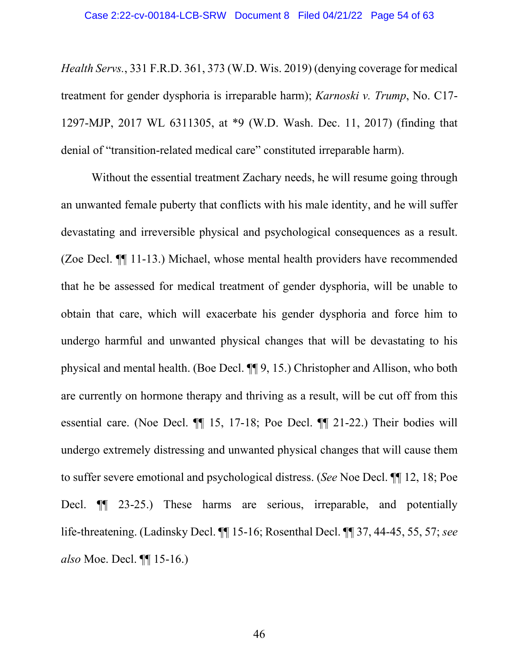*Health Servs.*, 331 F.R.D. 361, 373 (W.D. Wis. 2019) (denying coverage for medical treatment for gender dysphoria is irreparable harm); *Karnoski v. Trump*, No. C17- 1297-MJP, 2017 WL 6311305, at \*9 (W.D. Wash. Dec. 11, 2017) (finding that denial of "transition-related medical care" constituted irreparable harm).

Without the essential treatment Zachary needs, he will resume going through an unwanted female puberty that conflicts with his male identity, and he will suffer devastating and irreversible physical and psychological consequences as a result. (Zoe Decl. ¶¶ 11-13.) Michael, whose mental health providers have recommended that he be assessed for medical treatment of gender dysphoria, will be unable to obtain that care, which will exacerbate his gender dysphoria and force him to undergo harmful and unwanted physical changes that will be devastating to his physical and mental health. (Boe Decl. ¶¶ 9, 15.) Christopher and Allison, who both are currently on hormone therapy and thriving as a result, will be cut off from this essential care. (Noe Decl. ¶¶ 15, 17-18; Poe Decl. ¶¶ 21-22.) Their bodies will undergo extremely distressing and unwanted physical changes that will cause them to suffer severe emotional and psychological distress. (*See* Noe Decl. ¶¶ 12, 18; Poe Decl. ¶¶ 23-25.) These harms are serious, irreparable, and potentially life-threatening. (Ladinsky Decl. ¶¶ 15-16; Rosenthal Decl. ¶¶ 37, 44-45, 55, 57; *see also* Moe. Decl. ¶¶ 15-16.)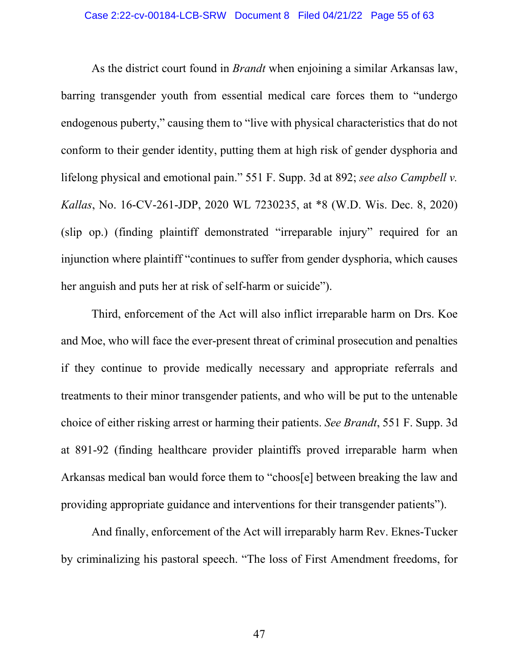As the district court found in *Brandt* when enjoining a similar Arkansas law, barring transgender youth from essential medical care forces them to "undergo endogenous puberty," causing them to "live with physical characteristics that do not conform to their gender identity, putting them at high risk of gender dysphoria and lifelong physical and emotional pain." 551 F. Supp. 3d at 892; *see also Campbell v. Kallas*, No. 16-CV-261-JDP, 2020 WL 7230235, at \*8 (W.D. Wis. Dec. 8, 2020) (slip op.) (finding plaintiff demonstrated "irreparable injury" required for an injunction where plaintiff "continues to suffer from gender dysphoria, which causes her anguish and puts her at risk of self-harm or suicide").

Third, enforcement of the Act will also inflict irreparable harm on Drs. Koe and Moe, who will face the ever-present threat of criminal prosecution and penalties if they continue to provide medically necessary and appropriate referrals and treatments to their minor transgender patients, and who will be put to the untenable choice of either risking arrest or harming their patients. *See Brandt*, 551 F. Supp. 3d at 891-92 (finding healthcare provider plaintiffs proved irreparable harm when Arkansas medical ban would force them to "choos[e] between breaking the law and providing appropriate guidance and interventions for their transgender patients").

And finally, enforcement of the Act will irreparably harm Rev. Eknes-Tucker by criminalizing his pastoral speech. "The loss of First Amendment freedoms, for

47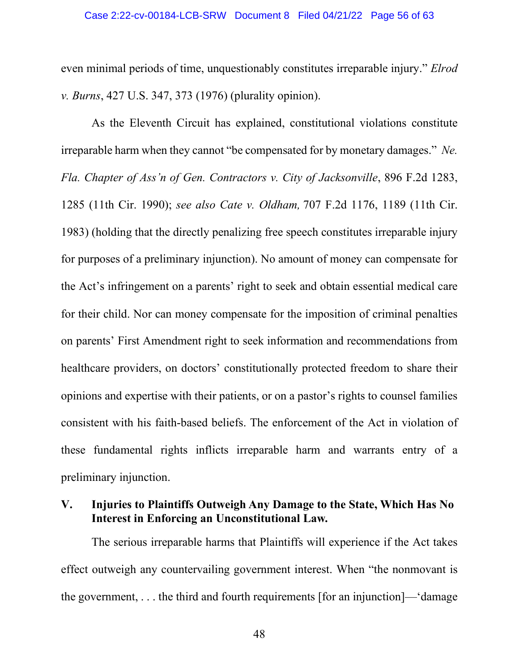even minimal periods of time, unquestionably constitutes irreparable injury." *Elrod v. Burns*, 427 U.S. 347, 373 (1976) (plurality opinion).

As the Eleventh Circuit has explained, constitutional violations constitute irreparable harm when they cannot "be compensated for by monetary damages." *[Ne.](http://www.westlaw.com/Link/Document/FullText?findType=Y&serNum=1990045882&pubNum=0000350&originatingDoc=If74fad301a9711ebaf4a97db80ef4b04&refType=RP&fi=co_pp_sp_350_1285&originationContext=document&vr=3.0&rs=cblt1.0&transitionType=DocumentItem&contextData=(sc.Search)#co_pp_sp_350_1285) [Fla. Chapter of Ass'n of Gen. Contractors v. City of Jacksonville](http://www.westlaw.com/Link/Document/FullText?findType=Y&serNum=1990045882&pubNum=0000350&originatingDoc=If74fad301a9711ebaf4a97db80ef4b04&refType=RP&fi=co_pp_sp_350_1285&originationContext=document&vr=3.0&rs=cblt1.0&transitionType=DocumentItem&contextData=(sc.Search)#co_pp_sp_350_1285)*, 896 F.2d 1283, [1285 \(11th Cir. 1990\);](http://www.westlaw.com/Link/Document/FullText?findType=Y&serNum=1990045882&pubNum=0000350&originatingDoc=If74fad301a9711ebaf4a97db80ef4b04&refType=RP&fi=co_pp_sp_350_1285&originationContext=document&vr=3.0&rs=cblt1.0&transitionType=DocumentItem&contextData=(sc.Search)#co_pp_sp_350_1285) *see also Cate v. Oldham,* [707 F.2d 1176, 1189 \(11th Cir.](https://1.next.westlaw.com/Link/Document/FullText?findType=Y&serNum=1983125912&pubNum=350&originatingDoc=Ie33dbc64971d11d9bdd1cfdd544ca3a4&refType=RP&fi=co_pp_sp_350_1189&originationContext=document&transitionType=DocumentItem&ppcid=d195739c056c4739966dbe90c81b209d&contextData=(sc.UserEnteredCitation)#co_pp_sp_350_1189) [1983\)](https://1.next.westlaw.com/Link/Document/FullText?findType=Y&serNum=1983125912&pubNum=350&originatingDoc=Ie33dbc64971d11d9bdd1cfdd544ca3a4&refType=RP&fi=co_pp_sp_350_1189&originationContext=document&transitionType=DocumentItem&ppcid=d195739c056c4739966dbe90c81b209d&contextData=(sc.UserEnteredCitation)#co_pp_sp_350_1189) (holding that the directly penalizing free speech constitutes irreparable injury for purposes of a preliminary injunction). No amount of money can compensate for the Act's infringement on a parents' right to seek and obtain essential medical care for their child. Nor can money compensate for the imposition of criminal penalties on parents' First Amendment right to seek information and recommendations from healthcare providers, on doctors' constitutionally protected freedom to share their opinions and expertise with their patients, or on a pastor's rights to counsel families consistent with his faith-based beliefs. The enforcement of the Act in violation of these fundamental rights inflicts irreparable harm and warrants entry of a preliminary injunction.

# **V. Injuries to Plaintiffs Outweigh Any Damage to the State, Which Has No Interest in Enforcing an Unconstitutional Law.**

The serious irreparable harms that Plaintiffs will experience if the Act takes effect outweigh any countervailing government interest. When "the nonmovant is the government,  $\dots$  the third and fourth requirements [for an injunction]— $d$ amage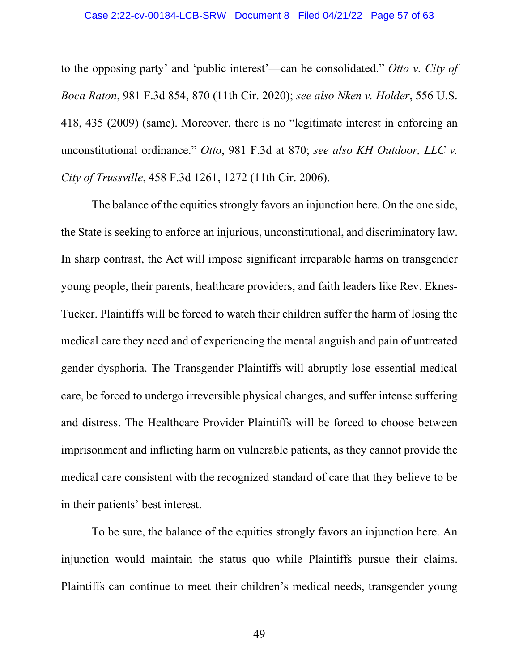#### Case 2:22-cv-00184-LCB-SRW Document 8 Filed 04/21/22 Page 57 of 63

to the opposing party' and 'public interest'—can be consolidated." *Otto v. City of Boca Raton*, 981 F.3d 854, 870 (11th Cir. 2020); *see also Nken v. Holder*, 556 U.S. 418, 435 (2009) (same). Moreover, there is no "legitimate interest in enforcing an unconstitutional ordinance." *Otto*, 981 F.3d at 870; *see also KH Outdoor, LLC v. City of Trussville*, 458 F.3d 1261, 1272 (11th Cir. 2006).

The balance of the equities strongly favors an injunction here. On the one side, the State is seeking to enforce an injurious, unconstitutional, and discriminatory law. In sharp contrast, the Act will impose significant irreparable harms on transgender young people, their parents, healthcare providers, and faith leaders like Rev. Eknes-Tucker. Plaintiffs will be forced to watch their children suffer the harm of losing the medical care they need and of experiencing the mental anguish and pain of untreated gender dysphoria. The Transgender Plaintiffs will abruptly lose essential medical care, be forced to undergo irreversible physical changes, and suffer intense suffering and distress. The Healthcare Provider Plaintiffs will be forced to choose between imprisonment and inflicting harm on vulnerable patients, as they cannot provide the medical care consistent with the recognized standard of care that they believe to be in their patients' best interest.

To be sure, the balance of the equities strongly favors an injunction here. An injunction would maintain the status quo while Plaintiffs pursue their claims. Plaintiffs can continue to meet their children's medical needs, transgender young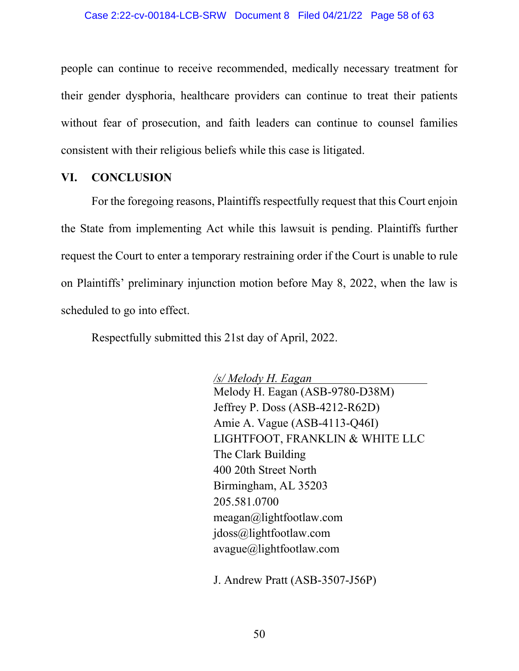people can continue to receive recommended, medically necessary treatment for their gender dysphoria, healthcare providers can continue to treat their patients without fear of prosecution, and faith leaders can continue to counsel families consistent with their religious beliefs while this case is litigated.

### **VI. CONCLUSION**

For the foregoing reasons, Plaintiffs respectfully request that this Court enjoin the State from implementing Act while this lawsuit is pending. Plaintiffs further request the Court to enter a temporary restraining order if the Court is unable to rule on Plaintiffs' preliminary injunction motion before May 8, 2022, when the law is scheduled to go into effect.

Respectfully submitted this 21st day of April, 2022.

*/s/ Melody H. Eagan*  Melody H. Eagan (ASB-9780-D38M) Jeffrey P. Doss (ASB-4212-R62D) Amie A. Vague (ASB-4113-Q46I) LIGHTFOOT, FRANKLIN & WHITE LLC The Clark Building 400 20th Street North Birmingham, AL 35203 205.581.0700 meagan@lightfootlaw.com jdoss@lightfootlaw.com avague@lightfootlaw.com

J. Andrew Pratt (ASB-3507-J56P)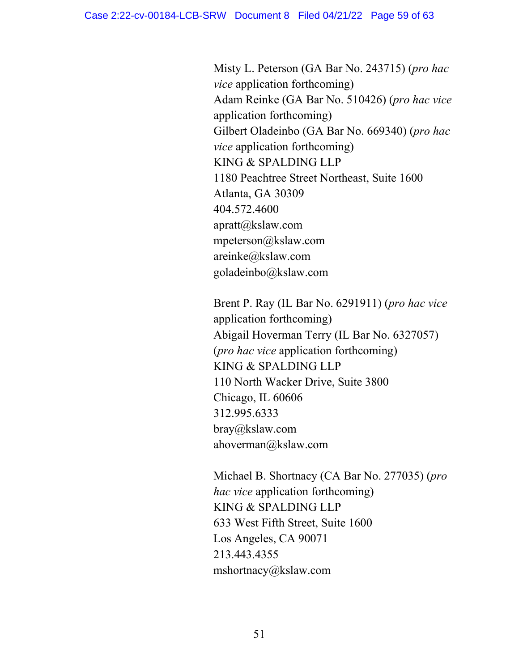Misty L. Peterson (GA Bar No. 243715) (*pro hac vice* application forthcoming) Adam Reinke (GA Bar No. 510426) (*pro hac vice*  application forthcoming) Gilbert Oladeinbo (GA Bar No. 669340) (*pro hac vice* application forthcoming) KING & SPALDING LLP 1180 Peachtree Street Northeast, Suite 1600 Atlanta, GA 30309 404.572.4600 apratt@kslaw.com mpeterson@kslaw.com areinke@kslaw.com goladeinbo@kslaw.com

Brent P. Ray (IL Bar No. 6291911) (*pro hac vice*  application forthcoming) Abigail Hoverman Terry (IL Bar No. 6327057) (*pro hac vice* application forthcoming) KING & SPALDING LLP 110 North Wacker Drive, Suite 3800 Chicago, IL 60606 312.995.6333 bray@kslaw.com ahoverman@kslaw.com

Michael B. Shortnacy (CA Bar No. 277035) (*pro hac vice* application forthcoming) KING & SPALDING LLP 633 West Fifth Street, Suite 1600 Los Angeles, CA 90071 213.443.4355 mshortnacy@kslaw.com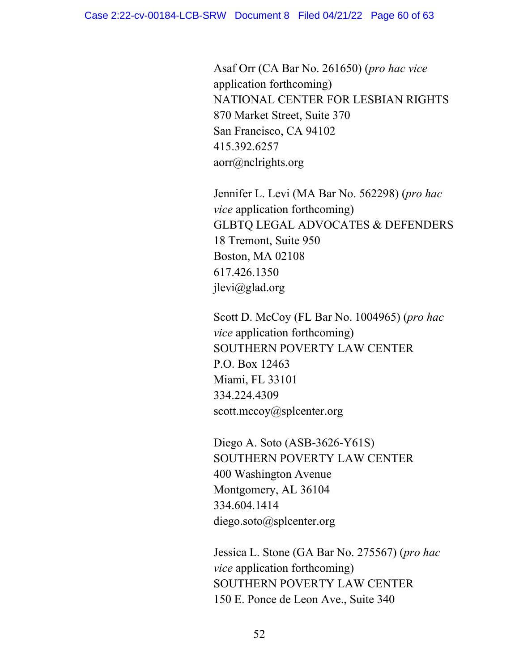Asaf Orr (CA Bar No. 261650) (*pro hac vice*  application forthcoming) NATIONAL CENTER FOR LESBIAN RIGHTS 870 Market Street, Suite 370 San Francisco, CA 94102 415.392.6257 aorr@nclrights.org

Jennifer L. Levi (MA Bar No. 562298) (*pro hac vice* application forthcoming) GLBTQ LEGAL ADVOCATES & DEFENDERS 18 Tremont, Suite 950 Boston, MA 02108 617.426.1350 jlevi@glad.org

Scott D. McCoy (FL Bar No. 1004965) (*pro hac vice* application forthcoming) SOUTHERN POVERTY LAW CENTER P.O. Box 12463 Miami, FL 33101 334.224.4309 scott.mccoy@splcenter.org

Diego A. Soto (ASB-3626-Y61S) SOUTHERN POVERTY LAW CENTER 400 Washington Avenue Montgomery, AL 36104 334.604.1414 diego.soto@splcenter.org

Jessica L. Stone (GA Bar No. 275567) (*pro hac vice* application forthcoming) SOUTHERN POVERTY LAW CENTER 150 E. Ponce de Leon Ave., Suite 340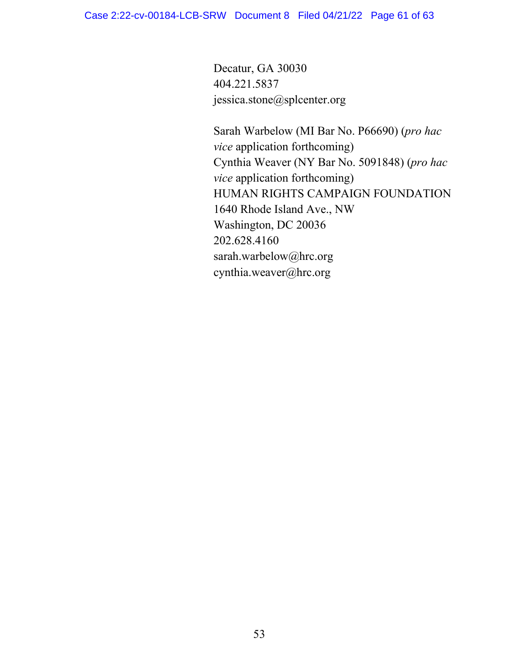Decatur, GA 30030 404.221.5837 jessica.stone@splcenter.org

Sarah Warbelow (MI Bar No. P66690) (*pro hac vice* application forthcoming) Cynthia Weaver (NY Bar No. 5091848) (*pro hac vice* application forthcoming) HUMAN RIGHTS CAMPAIGN FOUNDATION 1640 Rhode Island Ave., NW Washington, DC 20036 202.628.4160 sarah.warbelow@hrc.org cynthia.weaver@hrc.org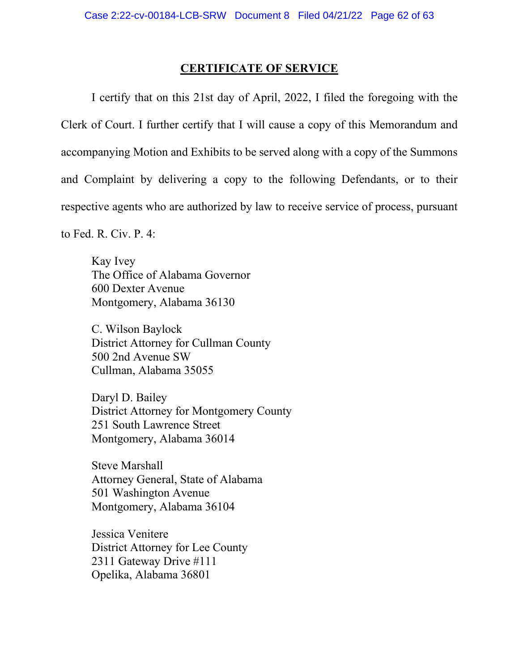### **CERTIFICATE OF SERVICE**

I certify that on this 21st day of April, 2022, I filed the foregoing with the Clerk of Court. I further certify that I will cause a copy of this Memorandum and accompanying Motion and Exhibits to be served along with a copy of the Summons and Complaint by delivering a copy to the following Defendants, or to their respective agents who are authorized by law to receive service of process, pursuant

to Fed. R. Civ. P. 4:

Kay Ivey The Office of Alabama Governor 600 Dexter Avenue Montgomery, Alabama 36130

C. Wilson Baylock District Attorney for Cullman County 500 2nd Avenue SW Cullman, Alabama 35055

Daryl D. Bailey District Attorney for Montgomery County 251 South Lawrence Street Montgomery, Alabama 36014

Steve Marshall Attorney General, State of Alabama 501 Washington Avenue Montgomery, Alabama 36104

Jessica Venitere District Attorney for Lee County 2311 Gateway Drive #111 Opelika, Alabama 36801